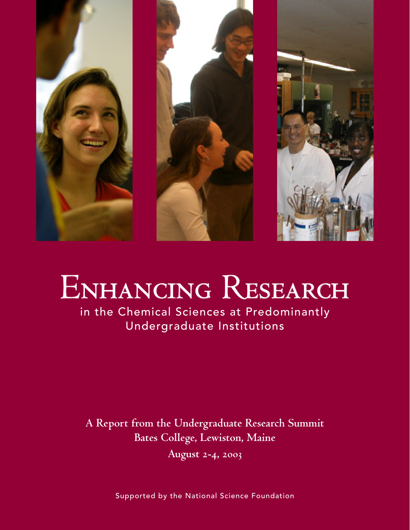

# ENHANCING RESEARCH

in the Chemical Sciences at Predominantly Undergraduate Institutions

**A Report from the Undergraduate Research Summit Bates College, Lewiston, Maine August 2-4, 2003**

Supported by the National Science Foundation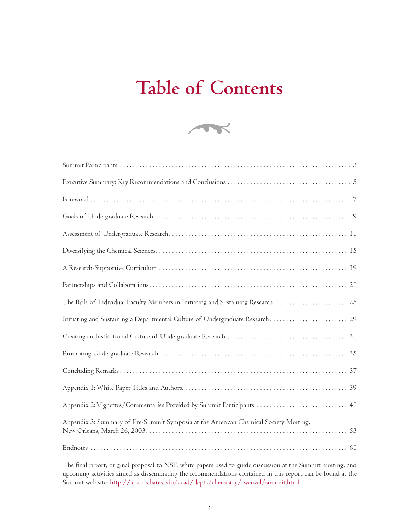# **Table of Contents**



| The Role of Individual Faculty Members in Initiating and Sustaining Research 25      |
|--------------------------------------------------------------------------------------|
| Initiating and Sustaining a Departmental Culture of Undergraduate Research 29        |
|                                                                                      |
|                                                                                      |
|                                                                                      |
|                                                                                      |
| Appendix 2: Vignettes/Commentaries Provided by Summit Participants  41               |
| Appendix 3: Summary of Pre-Summit Symposia at the American Chemical Society Meeting, |
|                                                                                      |

The final report, original proposal to NSF, white papers used to guide discussion at the Summit meeting, and upcoming activities aimed as disseminating the recommendations contained in this report can be found at the Summit web site: http://abacus.bates.edu/acad/depts/chemistry/twenzel/summit.html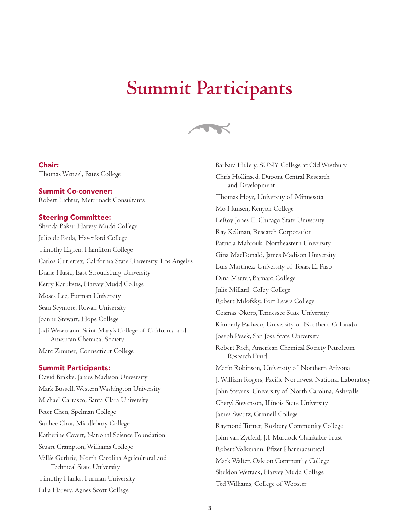### **Summit Participants**



### Chair:

Thomas Wenzel, Bates College

### Summit Co-convener:

Robert Lichter, Merrimack Consultants

### Steering Committee:

Shenda Baker, Harvey Mudd College Julio de Paula, Haverford College Timothy Elgren, Hamilton College Carlos Gutierrez, California State University, Los Angeles Diane Husic, East Stroudsburg University Kerry Karukstis, Harvey Mudd College Moses Lee, Furman University Sean Seymore, Rowan University Joanne Stewart, Hope College Jodi Wesemann, Saint Mary's College of California and American Chemical Society Marc Zimmer, Connecticut College

### Summit Participants:

David Brakke, James Madison University Mark Bussell, Western Washington University Michael Carrasco, Santa Clara University Peter Chen, Spelman College Sunhee Choi, Middlebury College Katherine Covert, National Science Foundation Stuart Crampton, Williams College Vallie Guthrie, North Carolina Agricultural and Technical State University Timothy Hanks, Furman University Lilia Harvey, Agnes Scott College

Barbara Hillery, SUNY College at Old Westbury Chris Hollinsed, Dupont Central Research and Development Thomas Hoye, University of Minnesota Mo Hunsen, Kenyon College LeRoy Jones II, Chicago State University Ray Kellman, Research Corporation Patricia Mabrouk, Northeastern University Gina MacDonald, James Madison University Luis Martinez, University of Texas, El Paso Dina Merrer, Barnard College Julie Millard, Colby College Robert Milofsky, Fort Lewis College Cosmas Okoro, Tennessee State University Kimberly Pacheco, University of Northern Colorado Joseph Pesek, San Jose State University Robert Rich, American Chemical Society Petroleum Research Fund Marin Robinson, University of Northern Arizona J. William Rogers, Pacific Northwest National Laboratory John Stevens, University of North Carolina, Asheville Cheryl Stevenson, Illinois State University James Swartz, Grinnell College Raymond Turner, Roxbury Community College John van Zytfeld, J.J. Murdock Charitable Trust Robert Volkmann, Pfizer Pharmaceutical Mark Walter, Oakton Community College Sheldon Wettack, Harvey Mudd College Ted Williams, College of Wooster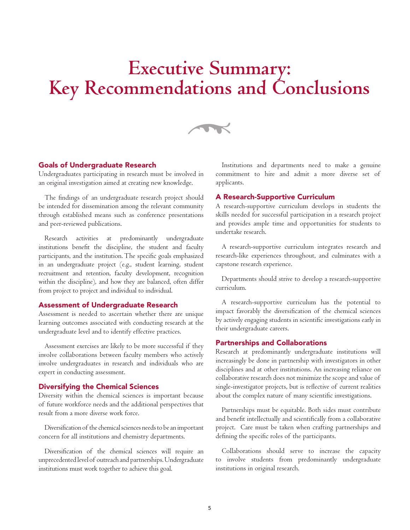# **Executive Summary: Key Recommendations and Conclusions**



### Goals of Undergraduate Research

Undergraduates participating in research must be involved in an original investigation aimed at creating new knowledge.

The findings of an undergraduate research project should be intended for dissemination among the relevant community through established means such as conference presentations and peer-reviewed publications.

Research activities at predominantly undergraduate institutions benefit the discipline, the student and faculty participants, and the institution. The specific goals emphasized in an undergraduate project (e.g., student learning, student recruitment and retention, faculty development, recognition within the discipline), and how they are balanced, often differ from project to project and individual to individual.

### Assessment of Undergraduate Research

Assessment is needed to ascertain whether there are unique learning outcomes associated with conducting research at the undergraduate level and to identify effective practices.

Assessment exercises are likely to be more successful if they involve collaborations between faculty members who actively involve undergraduates in research and individuals who are expert in conducting assessment.

### Diversifying the Chemical Sciences

Diversity within the chemical sciences is important because of future workforce needs and the additional perspectives that result from a more diverse work force.

Diversification of the chemical sciences needs to be an important concern for all institutions and chemistry departments.

Diversification of the chemical sciences will require an unprecedented level of outreach and partnerships. Undergraduate institutions must work together to achieve this goal.

Institutions and departments need to make a genuine commitment to hire and admit a more diverse set of applicants.

### A Research-Supportive Curriculum

A research-supportive curriculum develops in students the skills needed for successful participation in a research project and provides ample time and opportunities for students to undertake research.

A research-supportive curriculum integrates research and research-like experiences throughout, and culminates with a capstone research experience.

Departments should strive to develop a research-supportive curriculum.

A research-supportive curriculum has the potential to impact favorably the diversification of the chemical sciences by actively engaging students in scientific investigations early in their undergraduate careers.

### Partnerships and Collaborations

Research at predominantly undergraduate institutions will increasingly be done in partnership with investigators in other disciplines and at other institutions. An increasing reliance on collaborative research does not minimize the scope and value of single-investigator projects, but is reflective of current realities about the complex nature of many scientific investigations.

Partnerships must be equitable. Both sides must contribute and benefit intellectually and scientifically from a collaborative project. Care must be taken when crafting partnerships and defining the specific roles of the participants.

Collaborations should serve to increase the capacity to involve students from predominantly undergraduate institutions in original research.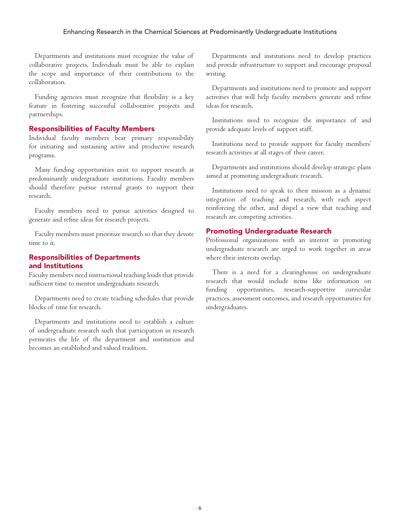Departments and institutions must recognize the value of collaborative projects. Individuals must be able to explain the scope and importance of their contributions to the collaboration.

Funding agencies must recognize that flexibility is a key feature in fostering successful collaborative projects and partnerships.

### Responsibilities of Faculty Members

Individual faculty members bear primary responsibility for initiating and sustaining active and productive research programs.

Many funding opportunities exist to support research at predominantly undergraduate institutions. Faculty members should therefore pursue external grants to support their research.

Faculty members need to pursue activities designed to generate and refine ideas for research projects.

Faculty members must prioritize research so that they devote time to it.

### Responsibilities of Departments and Institutions

Faculty members need instructional teaching loads that provide sufficient time to mentor undergraduate research.

Departments need to create teaching schedules that provide blocks of time for research.

Departments and institutions need to establish a culture of undergraduate research such that participation in research permeates the life of the department and institution and becomes an established and valued tradition.

Departments and institutions need to develop practices and provide infrastructure to support and encourage proposal writing.

Departments and institutions need to promote and support activities that will help faculty members generate and refine ideas for research.

Institutions need to recognize the importance of and provide adequate levels of support staff.

Institutions need to provide support for faculty members' research activities at all stages of their career.

Departments and institutions should develop strategic plans aimed at promoting undergraduate research.

Institutions need to speak to their mission as a dynamic integration of teaching and research, with each aspect reinforcing the other, and dispel a view that teaching and research are competing activities.

### Promoting Undergraduate Research

Professional organizations with an interest in promoting undergraduate research are urged to work together in areas where their interests overlap.

There is a need for a clearinghouse on undergraduate research that would include items like information on funding opportunities, research-supportive curricular practices, assessment outcomes, and research opportunities for undergraduates.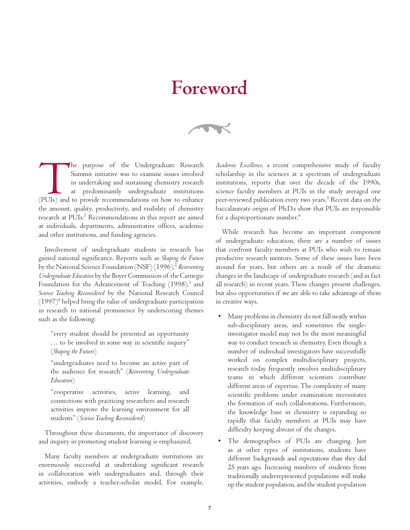## **Foreword**

 $\rightarrow$ 

The purpose of the Undergraduate Research Summit initiative was to examine issues involved in undertaking and sustaining chemistry research at predominantly undergraduate institutions (PUIs) and to provide recommendations Summit initiative was to examine issues involved in undertaking and sustaining chemistry research at predominantly undergraduate institutions the amount, quality, productivity, and visibility of chemistry research at PUIs.<sup>I</sup> Recommendations in this report are aimed at individuals, departments, administrative offices, academic and other institutions, and funding agencies.

Involvement of undergraduate students in research has gained national significance. Reports such as *Shaping the Future* by the National Science Foundation (NSF) (1996),<sup>2</sup> Reinventing *Undergraduate Education* by the Boyer Commission of the Carnegie Foundation for the Advancement of Teaching  $(1998)<sup>3</sup>$  and *Science Teaching Reconsidered* by the National Research Council  $(1997)^4$  helped bring the value of undergraduate participation in research to national prominence by underscoring themes such as the following:

"every student should be presented an opportunity … to be involved in some way in scientific inquiry" (*Shaping the Future*)

"undergraduates need to become an active part of the audience for research" (*Reinventing Undergraduate Education*)

"cooperative activities, active learning, and connections with practicing researchers and research activities improve the learning environment for all students" (*Science Teaching Reconsidered*)

Throughout these documents, the importance of discovery and inquiry in promoting student learning is emphasized.

Many faculty members at undergraduate institutions are enormously successful at undertaking significant research in collaboration with undergraduates and, through their activities, embody a teacher-scholar model. For example,

*Academic Excellence*, a recent comprehensive study of faculty scholarship in the sciences at a spectrum of undergraduate institutions, reports that over the decade of the 1990s, science faculty members at PUIs in the study averaged one peer-reviewed publication every two years.<sup>5</sup> Recent data on the baccalaureate origin of Ph.D.s show that PUIs are responsible for a disproportionate number.<sup>6</sup>

While research has become an important component of undergraduate education, there are a number of issues that confront faculty members at PUIs who wish to remain productive research mentors. Some of these issues have been around for years, but others are a result of the dramatic changes in the landscape of undergraduate research (and in fact all research) in recent years. These changes present challenges, but also opportunities if we are able to take advantage of them in creative ways.

- Many problems in chemistry do not fall neatly within sub-disciplinary areas, and sometimes the singleinvestigator model may not be the most meaningful way to conduct research in chemistry. Even though a number of individual investigators have successfully worked on complex multidisciplinary projects, research today frequently involves multidisciplinary teams in which different scientists contribute different areas of expertise. The complexity of many scientific problems under examination necessitates the formation of such collaborations. Furthermore, the knowledge base in chemistry is expanding so rapidly that faculty members at PUIs may have difficulty keeping abreast of the changes.
- The demographics of PUIs are changing. Just as at other types of institutions, students have different backgrounds and expectations than they did 25 years ago. Increasing numbers of students from traditionally underrepresented populations will make up the student population, and the student population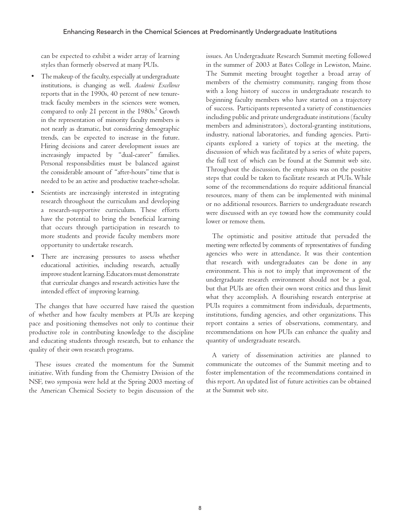can be expected to exhibit a wider array of learning styles than formerly observed at many PUIs.

- The makeup of the faculty, especially at undergraduate institutions, is changing as well. *Academic Excellence* reports that in the 1990s, 40 percent of new tenuretrack faculty members in the sciences were women, compared to only 21 percent in the 1980s.<sup>5</sup> Growth in the representation of minority faculty members is not nearly as dramatic, but considering demographic trends, can be expected to increase in the future. Hiring decisions and career development issues are increasingly impacted by "dual-career" families. Personal responsibilities must be balanced against the considerable amount of "after-hours" time that is needed to be an active and productive teacher-scholar.
- Scientists are increasingly interested in integrating research throughout the curriculum and developing a research-supportive curriculum. These efforts have the potential to bring the beneficial learning that occurs through participation in research to more students and provide faculty members more opportunity to undertake research.
- There are increasing pressures to assess whether educational activities, including research, actually improve student learning. Educators must demonstrate that curricular changes and research activities have the intended effect of improving learning.

The changes that have occurred have raised the question of whether and how faculty members at PUIs are keeping pace and positioning themselves not only to continue their productive role in contributing knowledge to the discipline and educating students through research, but to enhance the quality of their own research programs.

These issues created the momentum for the Summit initiative. With funding from the Chemistry Division of the NSF, two symposia were held at the Spring 2003 meeting of the American Chemical Society to begin discussion of the issues. An Undergraduate Research Summit meeting followed in the summer of 2003 at Bates College in Lewiston, Maine. The Summit meeting brought together a broad array of members of the chemistry community, ranging from those with a long history of success in undergraduate research to beginning faculty members who have started on a trajectory of success. Participants represented a variety of constituencies including public and private undergraduate institutions (faculty members and administrators), doctoral-granting institutions, industry, national laboratories, and funding agencies. Participants explored a variety of topics at the meeting, the discussion of which was facilitated by a series of white papers, the full text of which can be found at the Summit web site. Throughout the discussion, the emphasis was on the positive steps that could be taken to facilitate research at PUIs. While some of the recommendations do require additional financial resources, many of them can be implemented with minimal or no additional resources. Barriers to undergraduate research were discussed with an eye toward how the community could lower or remove them.

The optimistic and positive attitude that pervaded the meeting were reflected by comments of representatives of funding agencies who were in attendance. It was their contention that research with undergraduates can be done in any environment. This is not to imply that improvement of the undergraduate research environment should not be a goal, but that PUIs are often their own worst critics and thus limit what they accomplish. A flourishing research enterprise at PUIs requires a commitment from individuals, departments, institutions, funding agencies, and other organizations. This report contains a series of observations, commentary, and recommendations on how PUIs can enhance the quality and quantity of undergraduate research.

A variety of dissemination activities are planned to communicate the outcomes of the Summit meeting and to foster implementation of the recommendations contained in this report. An updated list of future activities can be obtained at the Summit web site.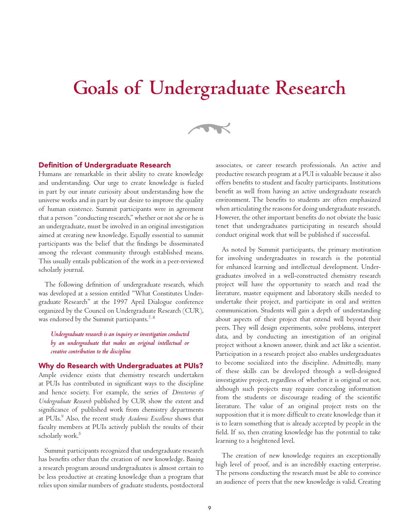## **Goals of Undergraduate Research**



### Definition of Undergraduate Research

Humans are remarkable in their ability to create knowledge and understanding. Our urge to create knowledge is fueled in part by our innate curiosity about understanding how the universe works and in part by our desire to improve the quality of human existence. Summit participants were in agreement that a person "conducting research," whether or not she or he is an undergraduate, must be involved in an original investigation aimed at creating new knowledge. Equally essential to summit participants was the belief that the findings be disseminated among the relevant community through established means. This usually entails publication of the work in a peer-reviewed scholarly journal.

The following definition of undergraduate research, which was developed at a session entitled "What Constitutes Undergraduate Research" at the 1997 April Dialogue conference organized by the Council on Undergraduate Research (CUR), was endorsed by the Summit participants.<sup>7, 8</sup>

*Undergraduate research is an inquiry or investigation conducted by an undergraduate that makes an original intellectual or creative contribution to the discipline.*

### Why do Research with Undergraduates at PUIs?

Ample evidence exists that chemistry research undertaken at PUIs has contributed in significant ways to the discipline and hence society. For example, the series of *Directories of Undergraduate Research* published by CUR show the extent and significance of published work from chemistry departments at PUIs.9 Also, the recent study *Academic Excellence* shows that faculty members at PUIs actively publish the results of their scholarly work.<sup>5</sup>

Summit participants recognized that undergraduate research has benefits other than the creation of new knowledge. Basing a research program around undergraduates is almost certain to be less productive at creating knowledge than a program that relies upon similar numbers of graduate students, postdoctoral

associates, or career research professionals. An active and productive research program at a PUI is valuable because it also offers benefits to student and faculty participants. Institutions benefit as well from having an active undergraduate research environment. The benefits to students are often emphasized when articulating the reasons for doing undergraduate research. However, the other important benefits do not obviate the basic tenet that undergraduates participating in research should conduct original work that will be published if successful.

As noted by Summit participants, the primary motivation for involving undergraduates in research is the potential for enhanced learning and intellectual development. Undergraduates involved in a well-constructed chemistry research project will have the opportunity to search and read the literature, master equipment and laboratory skills needed to undertake their project, and participate in oral and written communication. Students will gain a depth of understanding about aspects of their project that extend well beyond their peers. They will design experiments, solve problems, interpret data, and by conducting an investigation of an original project without a known answer, think and act like a scientist. Participation in a research project also enables undergraduates to become socialized into the discipline. Admittedly, many of these skills can be developed through a well-designed investigative project, regardless of whether it is original or not, although such projects may require concealing information from the students or discourage reading of the scientific literature. The value of an original project rests on the supposition that it is more difficult to create knowledge than it is to learn something that is already accepted by people in the field. If so, then creating knowledge has the potential to take learning to a heightened level.

The creation of new knowledge requires an exceptionally high level of proof, and is an incredibly exacting enterprise. The persons conducting the research must be able to convince an audience of peers that the new knowledge is valid. Creating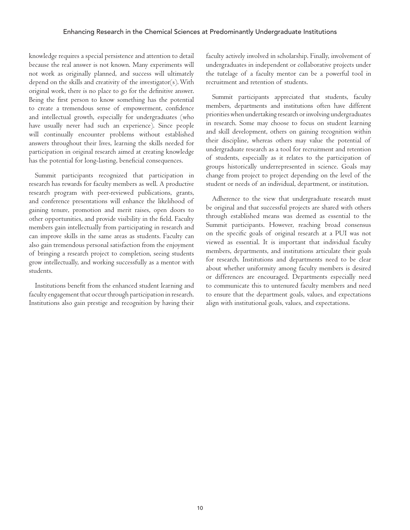knowledge requires a special persistence and attention to detail because the real answer is not known. Many experiments will not work as originally planned, and success will ultimately depend on the skills and creativity of the investigator(s). With original work, there is no place to go for the definitive answer. Being the first person to know something has the potential to create a tremendous sense of empowerment, confidence and intellectual growth, especially for undergraduates (who have usually never had such an experience). Since people will continually encounter problems without established answers throughout their lives, learning the skills needed for participation in original research aimed at creating knowledge has the potential for long-lasting, beneficial consequences.

Summit participants recognized that participation in research has rewards for faculty members as well. A productive research program with peer-reviewed publications, grants, and conference presentations will enhance the likelihood of gaining tenure, promotion and merit raises, open doors to other opportunities, and provide visibility in the field. Faculty members gain intellectually from participating in research and can improve skills in the same areas as students. Faculty can also gain tremendous personal satisfaction from the enjoyment of bringing a research project to completion, seeing students grow intellectually, and working successfully as a mentor with students.

Institutions benefit from the enhanced student learning and faculty engagement that occur through participation in research. Institutions also gain prestige and recognition by having their faculty actively involved in scholarship. Finally, involvement of undergraduates in independent or collaborative projects under the tutelage of a faculty mentor can be a powerful tool in recruitment and retention of students.

Summit participants appreciated that students, faculty members, departments and institutions often have different priorities when undertaking research or involving undergraduates in research. Some may choose to focus on student learning and skill development, others on gaining recognition within their discipline, whereas others may value the potential of undergraduate research as a tool for recruitment and retention of students, especially as it relates to the participation of groups historically underrepresented in science. Goals may change from project to project depending on the level of the student or needs of an individual, department, or institution.

Adherence to the view that undergraduate research must be original and that successful projects are shared with others through established means was deemed as essential to the Summit participants. However, reaching broad consensus on the specific goals of original research at a PUI was not viewed as essential. It is important that individual faculty members, departments, and institutions articulate their goals for research. Institutions and departments need to be clear about whether uniformity among faculty members is desired or differences are encouraged. Departments especially need to communicate this to untenured faculty members and need to ensure that the department goals, values, and expectations align with institutional goals, values, and expectations.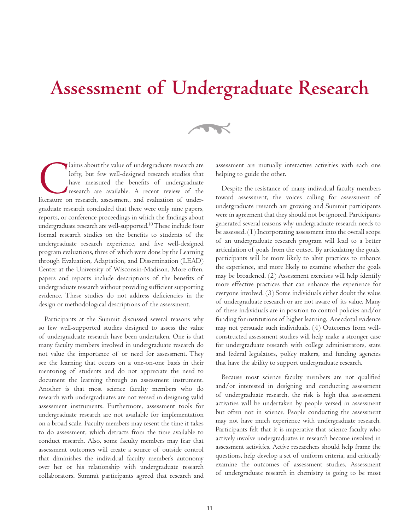## **Assessment of Undergraduate Research**

 $\rightarrow$ 

Iaims about the value of undergraduate research are lofty, but few well-designed research studies that have measured the benefits of undergraduate research are available. A recent review of the literature on research, assessment, and evaluation of undergraduate research concluded that there were only nine papers, reports, or conference proceedings in which the findings about undergraduate research are well-supported.<sup>10</sup>These include four formal research studies on the benefits to students of the undergraduate research experience, and five well-designed program evaluations, three of which were done by the Learning through Evaluation, Adaptation, and Dissemination (LEAD) Center at the University of Wisconsin-Madison. More often, papers and reports include descriptions of the benefits of undergraduate research without providing sufficient supporting evidence. These studies do not address deficiencies in the design or methodological descriptions of the assessment.

Participants at the Summit discussed several reasons why so few well-supported studies designed to assess the value of undergraduate research have been undertaken. One is that many faculty members involved in undergraduate research do not value the importance of or need for assessment. They see the learning that occurs on a one-on-one basis in their mentoring of students and do not appreciate the need to document the learning through an assessment instrument. Another is that most science faculty members who do research with undergraduates are not versed in designing valid assessment instruments. Furthermore, assessment tools for undergraduate research are not available for implementation on a broad scale. Faculty members may resent the time it takes to do assessment, which detracts from the time available to conduct research. Also, some faculty members may fear that assessment outcomes will create a source of outside control that diminishes the individual faculty member's autonomy over her or his relationship with undergraduate research collaborators. Summit participants agreed that research and

assessment are mutually interactive activities with each one helping to guide the other.

Despite the resistance of many individual faculty members toward assessment, the voices calling for assessment of undergraduate research are growing and Summit participants were in agreement that they should not be ignored. Participants generated several reasons why undergraduate research needs to be assessed. (1) Incorporating assessment into the overall scope of an undergraduate research program will lead to a better articulation of goals from the outset. By articulating the goals, participants will be more likely to alter practices to enhance the experience, and more likely to examine whether the goals may be broadened. (2) Assessment exercises will help identify more effective practices that can enhance the experience for everyone involved. (3) Some individuals either doubt the value of undergraduate research or are not aware of its value. Many of these individuals are in position to control policies and/or funding for institutions of higher learning. Anecdotal evidence may not persuade such individuals. (4) Outcomes from wellconstructed assessment studies will help make a stronger case for undergraduate research with college administrators, state and federal legislators, policy makers, and funding agencies that have the ability to support undergraduate research.

Because most science faculty members are not qualified and/or interested in designing and conducting assessment of undergraduate research, the risk is high that assessment activities will be undertaken by people versed in assessment but often not in science. People conducting the assessment may not have much experience with undergraduate research. Participants felt that it is imperative that science faculty who actively involve undergraduates in research become involved in assessment activities. Active researchers should help frame the questions, help develop a set of uniform criteria, and critically examine the outcomes of assessment studies. Assessment of undergraduate research in chemistry is going to be most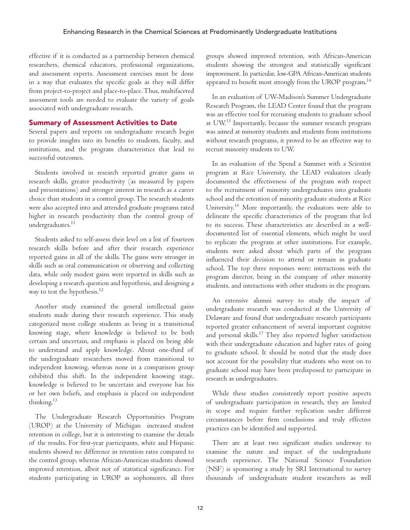effective if it is conducted as a partnership between chemical researchers, chemical educators, professional organizations, and assessment experts. Assessment exercises must be done in a way that evaluates the specific goals as they will differ from project-to-project and place-to-place. Thus, multifaceted assessment tools are needed to evaluate the variety of goals associated with undergraduate research.

### Summary of Assessment Activities to Date

Several papers and reports on undergraduate research begin to provide insights into its benefits to students, faculty, and institutions, and the program characteristics that lead to successful outcomes.

Students involved in research reported greater gains in research skills, greater productivity (as measured by papers and presentations) and stronger interest in research as a career choice than students in a control group. The research students were also accepted into and attended graduate programs rated higher in research productivity than the control group of undergraduates.<sup>11</sup>

Students asked to self-assess their level on a list of fourteen research skills before and after their research experience reported gains in all of the skills. The gains were stronger in skills such as oral communication or observing and collecting data, while only modest gains were reported in skills such as developing a research question and hypothesis, and designing a way to test the hypothesis.<sup>12</sup>

Another study examined the general intellectual gains students made during their research experience. This study categorized most college students as being in a transitional knowing stage, where knowledge is believed to be both certain and uncertain, and emphasis is placed on being able to understand and apply knowledge. About one-third of the undergraduate researchers moved from transitional to independent knowing, whereas none in a comparison group exhibited this shift. In the independent knowing stage, knowledge is believed to be uncertain and everyone has his or her own beliefs, and emphasis is placed on independent thinking.13

The Undergraduate Research Opportunities Program (UROP) at the University of Michigan increased student retention in college, but it is interesting to examine the details of the results. For first-year participants, white and Hispanic students showed no difference in retention rates compared to the control group, whereas African-American students showed improved retention, albeit not of statistical significance. For students participating in UROP as sophomores, all three

groups showed improved retention, with African-American students showing the strongest and statistically significant improvement. In particular, low-GPA African-American students appeared to benefit most strongly from the UROP program. $^{14}$ 

In an evaluation of UW-Madison's Summer Undergraduate Research Program, the LEAD Center found that the program was an effective tool for recruiting students to graduate school at  $U W^{15}$  Importantly, because the summer research program was aimed at minority students and students from institutions without research programs, it proved to be an effective way to recruit minority students to UW.

In an evaluation of the Spend a Summer with a Scientist program at Rice University, the LEAD evaluators clearly documented the effectiveness of the program with respect to the recruitment of minority undergraduates into graduate school and the retention of minority graduate students at Rice University.<sup>16</sup> More importantly, the evaluators were able to delineate the specific characteristics of the program that led to its success. These characteristics are described in a welldocumented list of essential elements, which might be used to replicate the program at other institutions. For example, students were asked about which parts of the program influenced their decision to attend or remain in graduate school. The top three responses were: interactions with the program director, being in the company of other minority students, and interactions with other students in the program.

An extensive alumni survey to study the impact of undergraduate research was conducted at the University of Delaware and found that undergraduate research participants reported greater enhancement of several important cognitive and personal skills.<sup>17</sup> They also reported higher satisfaction with their undergraduate education and higher rates of going to graduate school. It should be noted that the study does not account for the possibility that students who went on to graduate school may have been predisposed to participate in research as undergraduates.

While these studies consistently report positive aspects of undergraduate participation in research, they are limited in scope and require further replication under different circumstances before firm conclusions and truly effective practices can be identified and supported.

There are at least two significant studies underway to examine the nature and impact of the undergraduate research experience. The National Science Foundation (NSF) is sponsoring a study by SRI International to survey thousands of undergraduate student researchers as well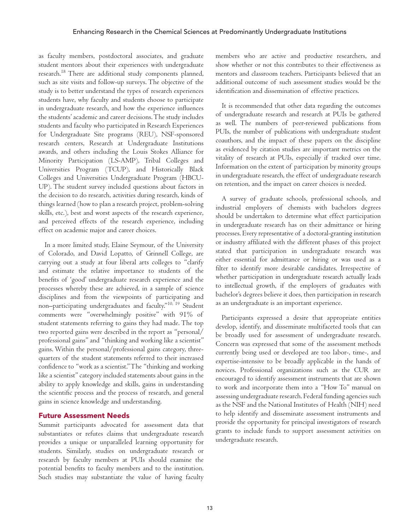as faculty members, postdoctoral associates, and graduate student mentors about their experiences with undergraduate research.18 There are additional study components planned, such as site visits and follow-up surveys. The objective of the study is to better understand the types of research experiences students have, why faculty and students choose to participate in undergraduate research, and how the experience influences the students' academic and career decisions. The study includes students and faculty who participated in Research Experiences for Undergraduate Site programs (REU), NSF-sponsored research centers, Research at Undergraduate Institutions awards, and others including the Louis Stokes Alliance for Minority Participation (LS-AMP), Tribal Colleges and Universities Program (TCUP), and Historically Black Colleges and Universities Undergraduate Program (HBCU-UP). The student survey included questions about factors in the decision to do research, activities during research, kinds of things learned (how to plan a research project, problem-solving skills, etc.), best and worst aspects of the research experience, and perceived effects of the research experience, including effect on academic major and career choices.

In a more limited study, Elaine Seymour, of the University of Colorado, and David Lopatto, of Grinnell College, are carrying out a study at four liberal arts colleges to "clarify and estimate the relative importance to students of the benefits of 'good' undergraduate research experience and the processes whereby these are achieved, in a sample of science disciplines and from the viewpoints of participating and non–participating undergraduates and faculty."10, 19 Student comments were "overwhelmingly positive" with 91% of student statements referring to gains they had made. The top two reported gains were described in the report as "personal/ professional gains" and "thinking and working like a scientist" gains. Within the personal/professional gains category, threequarters of the student statements referred to their increased confidence to "work as a scientist." The "thinking and working like a scientist" category included statements about gains in the ability to apply knowledge and skills, gains in understanding the scientific process and the process of research, and general gains in science knowledge and understanding.

### Future Assessment Needs

Summit participants advocated for assessment data that substantiates or refutes claims that undergraduate research provides a unique or unparalleled learning opportunity for students. Similarly, studies on undergraduate research or research by faculty members at PUIs should examine the potential benefits to faculty members and to the institution. Such studies may substantiate the value of having faculty

members who are active and productive researchers, and show whether or not this contributes to their effectiveness as mentors and classroom teachers. Participants believed that an additional outcome of such assessment studies would be the identification and dissemination of effective practices.

It is recommended that other data regarding the outcomes of undergraduate research and research at PUIs be gathered as well. The numbers of peer-reviewed publications from PUIs, the number of publications with undergraduate student coauthors, and the impact of these papers on the discipline as evidenced by citation studies are important metrics on the vitality of research at PUIs, especially if tracked over time. Information on the extent of participation by minority groups in undergraduate research, the effect of undergraduate research on retention, and the impact on career choices is needed.

A survey of graduate schools, professional schools, and industrial employers of chemists with bachelors degrees should be undertaken to determine what effect participation in undergraduate research has on their admittance or hiring processes. Every representative of a doctoral-granting institution or industry affiliated with the different phases of this project stated that participation in undergraduate research was either essential for admittance or hiring or was used as a filter to identify more desirable candidates. Irrespective of whether participation in undergraduate research actually leads to intellectual growth, if the employers of graduates with bachelor's degrees believe it does, then participation in research as an undergraduate is an important experience.

Participants expressed a desire that appropriate entities develop, identify, and disseminate multifaceted tools that can be broadly used for assessment of undergraduate research. Concern was expressed that some of the assessment methods currently being used or developed are too labor-, time-, and expertise-intensive to be broadly applicable in the hands of novices. Professional organizations such as the CUR are encouraged to identify assessment instruments that are shown to work and incorporate them into a "How To" manual on assessing undergraduate research. Federal funding agencies such as the NSF and the National Institutes of Health (NIH) need to help identify and disseminate assessment instruments and provide the opportunity for principal investigators of research grants to include funds to support assessment activities on undergraduate research.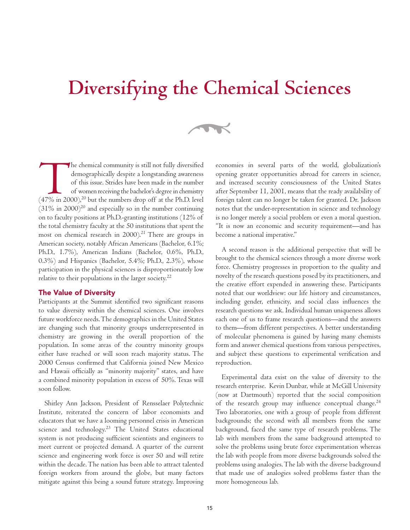# **Diversifying the Chemical Sciences**

 $\rightarrow$ 

The chemical community is still not fully diversified demographically despite a longstanding awareness of this issue. Strides have been made in the number of women receiving the bachelor's degree in chemistry (47% in 2000) demographically despite a longstanding awareness of this issue. Strides have been made in the number of women receiving the bachelor's degree in chemistry  $(31\% \text{ in } 2000)^{20}$  and especially so in the number continuing on to faculty positions at Ph.D.-granting institutions (12% of the total chemistry faculty at the 50 institutions that spent the most on chemical research in  $2000$ <sup>21</sup> There are groups in American society, notably African Americans (Bachelor, 6.1%; Ph.D., 1.7%), American Indians (Bachelor, 0.6%, Ph.D., 0.3%) and Hispanics (Bachelor, 5.4%; Ph.D., 2.3%), whose participation in the physical sciences is disproportionately low relative to their populations in the larger society. $22$ 

### The Value of Diversity

Participants at the Summit identified two significant reasons to value diversity within the chemical sciences. One involves future workforce needs. The demographics in the United States are changing such that minority groups underrepresented in chemistry are growing in the overall proportion of the population. In some areas of the country minority groups either have reached or will soon reach majority status. The 2000 Census confirmed that California joined New Mexico and Hawaii officially as "minority majority" states, and have a combined minority population in excess of 50%. Texas will soon follow.

Shirley Ann Jackson, President of Rensselaer Polytechnic Institute, reiterated the concern of labor economists and educators that we have a looming personnel crisis in American science and technology.<sup>23</sup> The United States educational system is not producing sufficient scientists and engineers to meet current or projected demand. A quarter of the current science and engineering work force is over 50 and will retire within the decade. The nation has been able to attract talented foreign workers from around the globe, but many factors mitigate against this being a sound future strategy. Improving

economies in several parts of the world, globalization's opening greater opportunities abroad for careers in science, and increased security consciousness of the United States after September 11, 2001, means that the ready availability of foreign talent can no longer be taken for granted. Dr. Jackson notes that the under-representation in science and technology is no longer merely a social problem or even a moral question. "It is now an economic and security requirement—and has become a national imperative."

A second reason is the additional perspective that will be brought to the chemical sciences through a more diverse work force. Chemistry progresses in proportion to the quality and novelty of the research questions posed by its practitioners, and the creative effort expended in answering these. Participants noted that our worldview: our life history and circumstances, including gender, ethnicity, and social class influences the research questions we ask. Individual human uniqueness allows each one of us to frame research questions—and the answers to them—from different perspectives. A better understanding of molecular phenomena is gained by having many chemists form and answer chemical questions from various perspectives, and subject these questions to experimental verification and reproduction.

Experimental data exist on the value of diversity to the research enterprise. Kevin Dunbar, while at McGill University (now at Dartmouth) reported that the social composition of the research group may influence conceptual change. $^{24}$ Two laboratories, one with a group of people from different backgrounds; the second with all members from the same background, faced the same type of research problems. The lab with members from the same background attempted to solve the problems using brute force experimentation whereas the lab with people from more diverse backgrounds solved the problems using analogies. The lab with the diverse background that made use of analogies solved problems faster than the more homogeneous lab.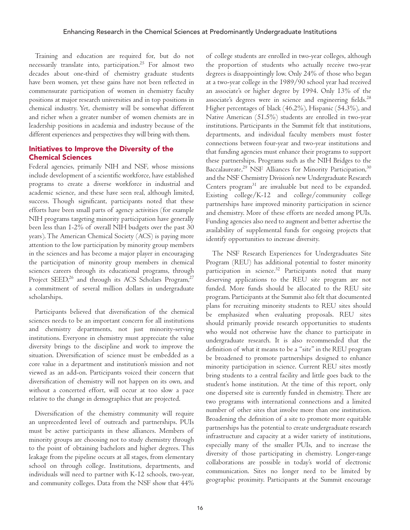Training and education are required for, but do not necessarily translate into, participation.<sup>25</sup> For almost two decades about one-third of chemistry graduate students have been women, yet these gains have not been reflected in commensurate participation of women in chemistry faculty positions at major research universities and in top positions in chemical industry. Yet, chemistry will be somewhat different and richer when a greater number of women chemists are in leadership positions in academia and industry because of the different experiences and perspectives they will bring with them.

### Initiatives to Improve the Diversity of the Chemical Sciences

Federal agencies, primarily NIH and NSF, whose missions include development of a scientific workforce, have established programs to create a diverse workforce in industrial and academic science, and these have seen real, although limited, success. Though significant, participants noted that these efforts have been small parts of agency activities (for example NIH programs targeting minority participation have generally been less than 1-2% of overall NIH budgets over the past 30 years). The American Chemical Society (ACS) is paying more attention to the low participation by minority group members in the sciences and has become a major player in encouraging the participation of minority group members in chemical sciences careers through its educational programs, through Project SEED,<sup>26</sup> and through its ACS Scholars Program,<sup>27</sup> a commitment of several million dollars in undergraduate scholarships.

Participants believed that diversification of the chemical sciences needs to be an important concern for all institutions and chemistry departments, not just minority-serving institutions. Everyone in chemistry must appreciate the value diversity brings to the discipline and work to improve the situation. Diversification of science must be embedded as a core value in a department and institution's mission and not viewed as an add-on. Participants voiced their concern that diversification of chemistry will not happen on its own, and without a concerted effort, will occur at too slow a pace relative to the change in demographics that are projected.

Diversification of the chemistry community will require an unprecedented level of outreach and partnerships. PUIs must be active participants in these alliances. Members of minority groups are choosing not to study chemistry through to the point of obtaining bachelors and higher degrees. This leakage from the pipeline occurs at all stages, from elementary school on through college. Institutions, departments, and individuals will need to partner with K-12 schools, two-year, and community colleges. Data from the NSF show that 44% of college students are enrolled in two-year colleges, although the proportion of students who actually receive two-year degrees is disappointingly low. Only 24% of those who began at a two-year college in the 1989/90 school year had received an associate's or higher degree by 1994. Only 13% of the associate's degrees were in science and engineering fields. $^{28}$ Higher percentages of black (46.2%), Hispanic (54.3%), and Native American (51.5%) students are enrolled in two-year institutions. Participants in the Summit felt that institutions, departments, and individual faculty members must foster connections between four-year and two-year institutions and that funding agencies must enhance their programs to support these partnerships. Programs such as the NIH Bridges to the Baccalaureate,<sup>29</sup> NSF Alliances for Minority Participation,<sup>30</sup> and the NSF Chemistry Division's new Undergraduate Research Centers program<sup>31</sup> are invaluable but need to be expanded. Existing college/K-12 and college/community college partnerships have improved minority participation in science and chemistry. More of these efforts are needed among PUIs. Funding agencies also need to augment and better advertise the availability of supplemental funds for ongoing projects that identify opportunities to increase diversity.

The NSF Research Experiences for Undergraduates Site Program (REU) has additional potential to foster minority participation in science.<sup>32</sup> Participants noted that many deserving applications to the REU site program are not funded. More funds should be allocated to the REU site program. Participants at the Summit also felt that documented plans for recruiting minority students to REU sites should be emphasized when evaluating proposals. REU sites should primarily provide research opportunities to students who would not otherwise have the chance to participate in undergraduate research. It is also recommended that the definition of what it means to be a "site" in the REU program be broadened to promote partnerships designed to enhance minority participation in science. Current REU sites mostly bring students to a central facility and little goes back to the student's home institution. At the time of this report, only one dispersed site is currently funded in chemistry. There are two programs with international connections and a limited number of other sites that involve more than one institution. Broadening the definition of a site to promote more equitable partnerships has the potential to create undergraduate research infrastructure and capacity at a wider variety of institutions, especially many of the smaller PUIs, and to increase the diversity of those participating in chemistry. Longer-range collaborations are possible in today's world of electronic communication. Sites no longer need to be limited by geographic proximity. Participants at the Summit encourage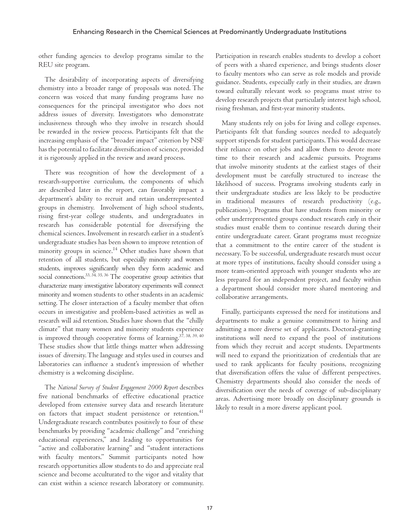other funding agencies to develop programs similar to the REU site program.

The desirability of incorporating aspects of diversifying chemistry into a broader range of proposals was noted. The concern was voiced that many funding programs have no consequences for the principal investigator who does not address issues of diversity. Investigators who demonstrate inclusiveness through who they involve in research should be rewarded in the review process. Participants felt that the increasing emphasis of the "broader impact" criterion by NSF has the potential to facilitate diversification of science, provided it is rigorously applied in the review and award process.

There was recognition of how the development of a research-supportive curriculum, the components of which are described later in the report, can favorably impact a department's ability to recruit and retain underrepresented groups in chemistry. Involvement of high school students, rising first-year college students, and undergraduates in research has considerable potential for diversifying the chemical sciences. Involvement in research earlier in a student's undergraduate studies has been shown to improve retention of minority groups in science.<sup>14</sup> Other studies have shown that retention of all students, but especially minority and women students, improves significantly when they form academic and social connections.<sup>33, 34, 35, 36</sup> The cooperative group activities that characterize many investigative laboratory experiments will connect minority and women students to other students in an academic setting. The closer interaction of a faculty member that often occurs in investigative and problem-based activities as well as research will aid retention. Studies have shown that the "chilly climate" that many women and minority students experience is improved through cooperative forms of learning.<sup>37, 38, 39, 40</sup> These studies show that little things matter when addressing issues of diversity. The language and styles used in courses and laboratories can influence a student's impression of whether chemistry is a welcoming discipline.

The *National Survey of Student Engagement 2000 Report* describes five national benchmarks of effective educational practice developed from extensive survey data and research literature on factors that impact student persistence or retention.<sup>41</sup> Undergraduate research contributes positively to four of these benchmarks by providing "academic challenge" and "enriching educational experiences," and leading to opportunities for "active and collaborative learning" and "student interactions with faculty mentors." Summit participants noted how research opportunities allow students to do and appreciate real science and become acculturated to the vigor and vitality that can exist within a science research laboratory or community.

Participation in research enables students to develop a cohort of peers with a shared experience, and brings students closer to faculty mentors who can serve as role models and provide guidance. Students, especially early in their studies, are drawn toward culturally relevant work so programs must strive to develop research projects that particularly interest high school, rising freshman, and first-year minority students.

Many students rely on jobs for living and college expenses. Participants felt that funding sources needed to adequately support stipends for student participants. This would decrease their reliance on other jobs and allow them to devote more time to their research and academic pursuits. Programs that involve minority students at the earliest stages of their development must be carefully structured to increase the likelihood of success. Programs involving students early in their undergraduate studies are less likely to be productive in traditional measures of research productivity (e.g., publications). Programs that have students from minority or other underrepresented groups conduct research early in their studies must enable them to continue research during their entire undergraduate career. Grant programs must recognize that a commitment to the entire career of the student is necessary. To be successful, undergraduate research must occur at more types of institutions, faculty should consider using a more team-oriented approach with younger students who are less prepared for an independent project, and faculty within a department should consider more shared mentoring and collaborative arrangements.

Finally, participants expressed the need for institutions and departments to make a genuine commitment to hiring and admitting a more diverse set of applicants. Doctoral-granting institutions will need to expand the pool of institutions from which they recruit and accept students. Departments will need to expand the prioritization of credentials that are used to rank applicants for faculty positions, recognizing that diversification offers the value of different perspectives. Chemistry departments should also consider the needs of diversification over the needs of coverage of sub-disciplinary areas. Advertising more broadly on disciplinary grounds is likely to result in a more diverse applicant pool.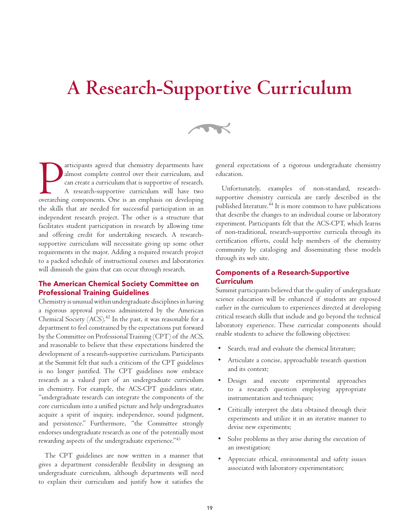## **A Research-Supportive Curriculum**

 $\rightarrow$ 

articipants agreed that chemistry departments have<br>almost complete control over their curriculum, and<br>can create a curriculum that is supportive of research.<br>A research-supportive curriculum will have two<br>overarching compo articipants agreed that chemistry departments have almost complete control over their curriculum, and can create a curriculum that is supportive of research. A research-supportive curriculum will have two the skills that are needed for successful participation in an independent research project. The other is a structure that facilitates student participation in research by allowing time and offering credit for undertaking research. A researchsupportive curriculum will necessitate giving up some other requirements in the major. Adding a required research project to a packed schedule of instructional courses and laboratories will diminish the gains that can occur through research.

### The American Chemical Society Committee on Professional Training Guidelines

Chemistry is unusual within undergraduate disciplines in having a rigorous approval process administered by the American Chemical Society  $(ACS)^{42}$  In the past, it was reasonable for a department to feel constrained by the expectations put forward by the Committee on Professional Training (CPT) of the ACS, and reasonable to believe that these expectations hindered the development of a research-supportive curriculum. Participants at the Summit felt that such a criticism of the CPT guidelines is no longer justified. The CPT guidelines now embrace research as a valued part of an undergraduate curriculum in chemistry. For example, the ACS-CPT guidelines state, "undergraduate research can integrate the components of the core curriculum into a unified picture and help undergraduates acquire a spirit of inquiry, independence, sound judgment, and persistence." Furthermore, "the Committee strongly endorses undergraduate research as one of the potentially most rewarding aspects of the undergraduate experience."<sup>43</sup>

The CPT guidelines are now written in a manner that gives a department considerable flexibility in designing an undergraduate curriculum, although departments will need to explain their curriculum and justify how it satisfies the

general expectations of a rigorous undergraduate chemistry education.

Unfortunately, examples of non-standard, researchsupportive chemistry curricula are rarely described in the published literature.<sup>44</sup> It is more common to have publications that describe the changes to an individual course or laboratory experiment. Participants felt that the ACS-CPT, which learns of non-traditional, research-supportive curricula through its certification efforts, could help members of the chemistry community by cataloging and disseminating these models through its web site.

### Components of a Research-Supportive Curriculum

Summit participants believed that the quality of undergraduate science education will be enhanced if students are exposed earlier in the curriculum to experiences directed at developing critical research skills that include and go beyond the technical laboratory experience. These curricular components should enable students to achieve the following objectives:

- Search, read and evaluate the chemical literature;
- Articulate a concise, approachable research question and its context;
- Design and execute experimental approaches to a research question employing appropriate instrumentation and techniques;
- Critically interpret the data obtained through their experiments and utilize it in an iterative manner to devise new experiments;
- Solve problems as they arise during the execution of an investigation;
- Appreciate ethical, environmental and safety issues associated with laboratory experimentation;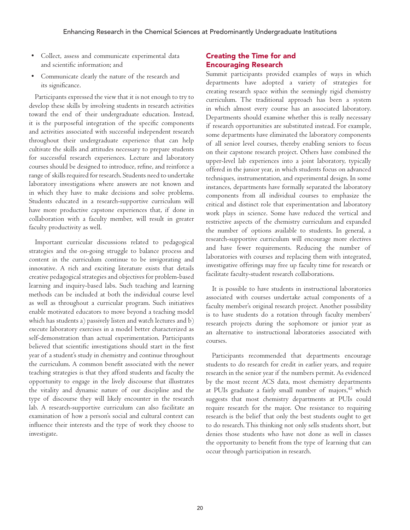- Collect, assess and communicate experimental data and scientific information; and
- Communicate clearly the nature of the research and its significance.

Participants expressed the view that it is not enough to try to develop these skills by involving students in research activities toward the end of their undergraduate education. Instead, it is the purposeful integration of the specific components and activities associated with successful independent research throughout their undergraduate experience that can help cultivate the skills and attitudes necessary to prepare students for successful research experiences. Lecture and laboratory courses should be designed to introduce, refine, and reinforce a range of skills required for research. Students need to undertake laboratory investigations where answers are not known and in which they have to make decisions and solve problems. Students educated in a research-supportive curriculum will have more productive capstone experiences that, if done in collaboration with a faculty member, will result in greater faculty productivity as well.

Important curricular discussions related to pedagogical strategies and the on-going struggle to balance process and content in the curriculum continue to be invigorating and innovative. A rich and exciting literature exists that details creative pedagogical strategies and objectives for problem-based learning and inquiry-based labs. Such teaching and learning methods can be included at both the individual course level as well as throughout a curricular program. Such initiatives enable motivated educators to move beyond a teaching model which has students a) passively listen and watch lectures and b) execute laboratory exercises in a model better characterized as self-demonstration than actual experimentation. Participants believed that scientific investigations should start in the first year of a student's study in chemistry and continue throughout the curriculum. A common benefit associated with the newer teaching strategies is that they afford students and faculty the opportunity to engage in the lively discourse that illustrates the vitality and dynamic nature of our discipline and the type of discourse they will likely encounter in the research lab. A research-supportive curriculum can also facilitate an examination of how a person's social and cultural context can influence their interests and the type of work they choose to investigate.

### Creating the Time for and Encouraging Research

Summit participants provided examples of ways in which departments have adopted a variety of strategies for creating research space within the seemingly rigid chemistry curriculum. The traditional approach has been a system in which almost every course has an associated laboratory. Departments should examine whether this is really necessary if research opportunities are substituted instead. For example, some departments have eliminated the laboratory components of all senior level courses, thereby enabling seniors to focus on their capstone research project. Others have combined the upper-level lab experiences into a joint laboratory, typically offered in the junior year, in which students focus on advanced techniques, instrumentation, and experimental design. In some instances, departments have formally separated the laboratory components from all individual courses to emphasize the critical and distinct role that experimentation and laboratory work plays in science. Some have reduced the vertical and restrictive aspects of the chemistry curriculum and expanded the number of options available to students. In general, a research-supportive curriculum will encourage more electives and have fewer requirements. Reducing the number of laboratories with courses and replacing them with integrated, investigative offerings may free up faculty time for research or facilitate faculty-student research collaborations.

It is possible to have students in instructional laboratories associated with courses undertake actual components of a faculty member's original research project. Another possibility is to have students do a rotation through faculty members' research projects during the sophomore or junior year as an alternative to instructional laboratories associated with courses.

Participants recommended that departments encourage students to do research for credit in earlier years, and require research in the senior year if the numbers permit. As evidenced by the most recent ACS data, most chemistry departments at PUIs graduate a fairly small number of majors,<sup>45</sup> which suggests that most chemistry departments at PUIs could require research for the major. One resistance to requiring research is the belief that only the best students ought to get to do research. This thinking not only sells students short, but denies those students who have not done as well in classes the opportunity to benefit from the type of learning that can occur through participation in research.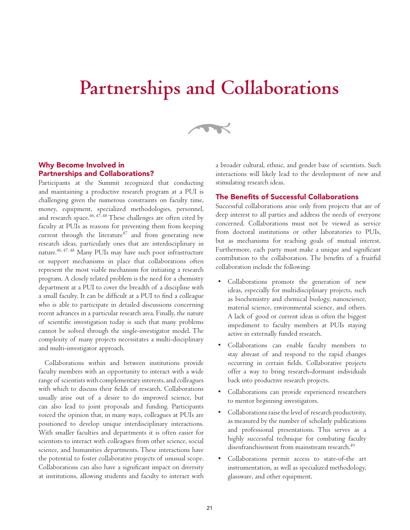## **Partnerships and Collaborations**



### Why Become Involved in Partnerships and Collaborations?

Participants at the Summit recognized that conducting and maintaining a productive research program at a PUI is challenging given the numerous constraints on faculty time, money, equipment, specialized methodologies, personnel, and research space. $46, 47, 48$  These challenges are often cited by faculty at PUIs as reasons for preventing them from keeping current through the literature $47$  and from generating new research ideas, particularly ones that are interdisciplinary in nature.46, 47, 48 Many PUIs may have such poor infrastructure or support mechanisms in place that collaborations often represent the most viable mechanism for initiating a research program. A closely related problem is the need for a chemistry department at a PUI to cover the breadth of a discipline with a small faculty. It can be difficult at a PUI to find a colleague who is able to participate in detailed discussions concerning recent advances in a particular research area. Finally, the nature of scientific investigation today is such that many problems cannot be solved through the single-investigator model. The complexity of many projects necessitates a multi-disciplinary and multi-investigator approach.

Collaborations within and between institutions provide faculty members with an opportunity to interact with a wide range of scientists with complementary interests, and colleagues with which to discuss their fields of research. Collaborations usually arise out of a desire to do improved science, but can also lead to joint proposals and funding. Participants voiced the opinion that, in many ways, colleagues at PUIs are positioned to develop unique interdisciplinary interactions. With smaller faculties and departments it is often easier for scientists to interact with colleagues from other science, social science, and humanities departments. These interactions have the potential to foster collaborative projects of unusual scope. Collaborations can also have a significant impact on diversity at institutions, allowing students and faculty to interact with a broader cultural, ethnic, and gender base of scientists. Such interactions will likely lead to the development of new and stimulating research ideas.

### The Benefits of Successful Collaborations

Successful collaborations arise only from projects that are of deep interest to all parties and address the needs of everyone concerned. Collaborations must not be viewed as service from doctoral institutions or other laboratories to PUIs, but as mechanisms for reaching goals of mutual interest. Furthermore, each party must make a unique and significant contribution to the collaboration. The benefits of a fruitful collaboration include the following:

- Collaborations promote the generation of new ideas, especially for multidisciplinary projects, such as biochemistry and chemical biology, nanoscience, material science, environmental science, and others. A lack of good or current ideas is often the biggest impediment to faculty members at PUIs staying active in externally funded research.
- Collaborations can enable faculty members to stay abreast of and respond to the rapid changes occurring in certain fields. Collaborative projects offer a way to bring research-dormant individuals back into productive research projects.
- Collaborations can provide experienced researchers to mentor beginning investigators.
- Collaborations raise the level of research productivity, as measured by the number of scholarly publications and professional presentations. This serves as a highly successful technique for combating faculty disenfranchisement from mainstream research.<sup>49</sup>
- Collaborations permit access to state-of-the art instrumentation, as well as specialized methodology, glassware, and other equipment.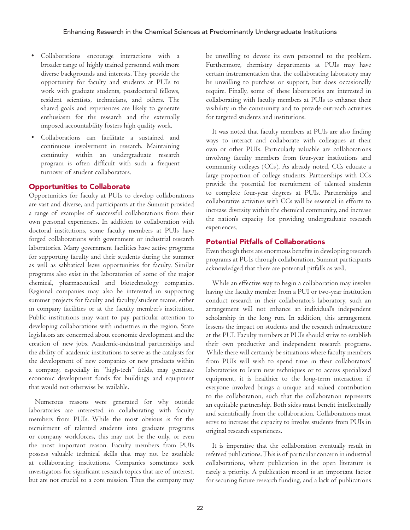- Collaborations encourage interactions with a broader range of highly trained personnel with more diverse backgrounds and interests. They provide the opportunity for faculty and students at PUIs to work with graduate students, postdoctoral fellows, resident scientists, technicians, and others. The shared goals and experiences are likely to generate enthusiasm for the research and the externally imposed accountability fosters high quality work.
- Collaborations can facilitate a sustained and continuous involvement in research. Maintaining continuity within an undergraduate research program is often difficult with such a frequent turnover of student collaborators.

### Opportunities to Collaborate

Opportunities for faculty at PUIs to develop collaborations are vast and diverse, and participants at the Summit provided a range of examples of successful collaborations from their own personal experiences. In addition to collaboration with doctoral institutions, some faculty members at PUIs have forged collaborations with government or industrial research laboratories. Many government facilities have active programs for supporting faculty and their students during the summer as well as sabbatical leave opportunities for faculty. Similar programs also exist in the laboratories of some of the major chemical, pharmaceutical and biotechnology companies. Regional companies may also be interested in supporting summer projects for faculty and faculty/student teams, either in company facilities or at the faculty member's institution. Public institutions may want to pay particular attention to developing collaborations with industries in the region. State legislators are concerned about economic development and the creation of new jobs. Academic-industrial partnerships and the ability of academic institutions to serve as the catalysts for the development of new companies or new products within a company, especially in "high-tech" fields, may generate economic development funds for buildings and equipment that would not otherwise be available.

Numerous reasons were generated for why outside laboratories are interested in collaborating with faculty members from PUIs. While the most obvious is for the recruitment of talented students into graduate programs or company workforces, this may not be the only, or even the most important reason. Faculty members from PUIs possess valuable technical skills that may not be available at collaborating institutions. Companies sometimes seek investigators for significant research topics that are of interest, but are not crucial to a core mission. Thus the company may be unwilling to devote its own personnel to the problem. Furthermore, chemistry departments at PUIs may have certain instrumentation that the collaborating laboratory may be unwilling to purchase or support, but does occasionally require. Finally, some of these laboratories are interested in collaborating with faculty members at PUIs to enhance their visibility in the community and to provide outreach activities for targeted students and institutions.

It was noted that faculty members at PUIs are also finding ways to interact and collaborate with colleagues at their own or other PUIs. Particularly valuable are collaborations involving faculty members from four-year institutions and community colleges (CCs). As already noted, CCs educate a large proportion of college students. Partnerships with CCs provide the potential for recruitment of talented students to complete four-year degrees at PUIs. Partnerships and collaborative activities with CCs will be essential in efforts to increase diversity within the chemical community, and increase the nation's capacity for providing undergraduate research experiences.

### Potential Pitfalls of Collaborations

Even though there are enormous benefits in developing research programs at PUIs through collaboration, Summit participants acknowledged that there are potential pitfalls as well.

While an effective way to begin a collaboration may involve having the faculty member from a PUI or two-year institution conduct research in their collaborator's laboratory, such an arrangement will not enhance an individual's independent scholarship in the long run. In addition, this arrangement lessens the impact on students and the research infrastructure at the PUI. Faculty members at PUIs should strive to establish their own productive and independent research programs. While there will certainly be situations where faculty members from PUIs will wish to spend time in their collaborators' laboratories to learn new techniques or to access specialized equipment, it is healthier to the long-term interaction if everyone involved brings a unique and valued contribution to the collaboration, such that the collaboration represents an equitable partnership. Both sides must benefit intellectually and scientifically from the collaboration. Collaborations must serve to increase the capacity to involve students from PUIs in original research experiences.

It is imperative that the collaboration eventually result in refereed publications. This is of particular concern in industrial collaborations, where publication in the open literature is rarely a priority. A publication record is an important factor for securing future research funding, and a lack of publications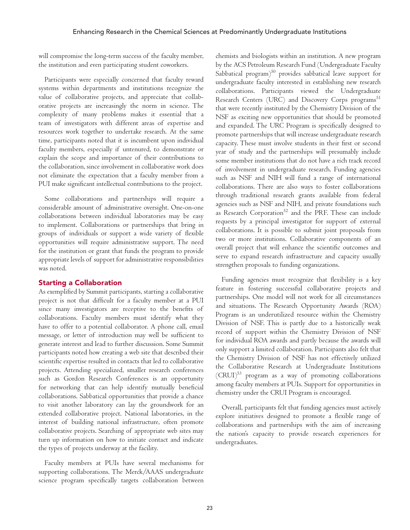will compromise the long-term success of the faculty member, the institution and even participating student coworkers.

Participants were especially concerned that faculty reward systems within departments and institutions recognize the value of collaborative projects, and appreciate that collaborative projects are increasingly the norm in science. The complexity of many problems makes it essential that a team of investigators with different areas of expertise and resources work together to undertake research. At the same time, participants noted that it is incumbent upon individual faculty members, especially if untenured, to demonstrate or explain the scope and importance of their contributions to the collaboration, since involvement in collaborative work does not eliminate the expectation that a faculty member from a PUI make significant intellectual contributions to the project.

Some collaborations and partnerships will require a considerable amount of administrative oversight. One-on-one collaborations between individual laboratories may be easy to implement. Collaborations or partnerships that bring in groups of individuals or support a wide variety of flexible opportunities will require administrative support. The need for the institution or grant that funds the program to provide appropriate levels of support for administrative responsibilities was noted.

### Starting a Collaboration

As exemplified by Summit participants, starting a collaborative project is not that difficult for a faculty member at a PUI since many investigators are receptive to the benefits of collaborations. Faculty members must identify what they have to offer to a potential collaborator. A phone call, email message, or letter of introduction may well be sufficient to generate interest and lead to further discussion. Some Summit participants noted how creating a web site that described their scientific expertise resulted in contacts that led to collaborative projects. Attending specialized, smaller research conferences such as Gordon Research Conferences is an opportunity for networking that can help identify mutually beneficial collaborations. Sabbatical opportunities that provide a chance to visit another laboratory can lay the groundwork for an extended collaborative project. National laboratories, in the interest of building national infrastructure, often promote collaborative projects. Searching of appropriate web sites may turn up information on how to initiate contact and indicate the types of projects underway at the facility.

Faculty members at PUIs have several mechanisms for supporting collaborations. The Merck/AAAS undergraduate science program specifically targets collaboration between

chemists and biologists within an institution. A new program by the ACS Petroleum Research Fund (Undergraduate Faculty Sabbatical program) $50$  provides sabbatical leave support for undergraduate faculty interested in establishing new research collaborations. Participants viewed the Undergraduate Research Centers (URC) and Discovery Corps programs<sup>51</sup> that were recently instituted by the Chemistry Division of the NSF as exciting new opportunities that should be promoted and expanded. The URC Program is specifically designed to promote partnerships that will increase undergraduate research capacity. These must involve students in their first or second year of study and the partnerships will presumably include some member institutions that do not have a rich track record of involvement in undergraduate research. Funding agencies such as NSF and NIH will fund a range of international collaborations. There are also ways to foster collaborations through traditional research grants available from federal agencies such as NSF and NIH, and private foundations such as Research Corporation<sup>52</sup> and the PRF. These can include requests by a principal investigator for support of external collaborations. It is possible to submit joint proposals from two or more institutions. Collaborative components of an overall project that will enhance the scientific outcomes and serve to expand research infrastructure and capacity usually strengthen proposals to funding organizations.

Funding agencies must recognize that flexibility is a key feature in fostering successful collaborative projects and partnerships. One model will not work for all circumstances and situations. The Research Opportunity Awards (ROA) Program is an underutilized resource within the Chemistry Division of NSF. This is partly due to a historically weak record of support within the Chemistry Division of NSF for individual ROA awards and partly because the awards will only support a limited collaboration. Participants also felt that the Chemistry Division of NSF has not effectively utilized the Collaborative Research at Undergraduate Institutions (CRUI)53 program as a way of promoting collaborations among faculty members at PUIs. Support for opportunities in chemistry under the CRUI Program is encouraged.

Overall, participants felt that funding agencies must actively explore initiatives designed to promote a flexible range of collaborations and partnerships with the aim of increasing the nation's capacity to provide research experiences for undergraduates.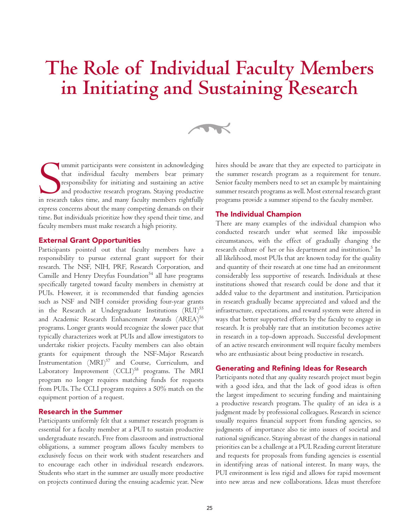# **The Role of Individual Faculty Members in Initiating and Sustaining Research**

 $\rightarrow$ 

Summit participants were consistent in acknowledging<br>that individual faculty members bear primary<br>responsibility for initiating and sustaining an active<br>and productive research program. Staying productive<br>in research takes ummit participants were consistent in acknowledging that individual faculty members bear primary responsibility for initiating and sustaining an active and productive research program. Staying productive express concerns about the many competing demands on their time. But individuals prioritize how they spend their time, and faculty members must make research a high priority.

### External Grant Opportunities

Participants pointed out that faculty members have a responsibility to pursue external grant support for their research. The NSF, NIH, PRF, Research Corporation, and Camille and Henry Dreyfus Foundation $54$  all have programs specifically targeted toward faculty members in chemistry at PUIs. However, it is recommended that funding agencies such as NSF and NIH consider providing four-year grants in the Research at Undergraduate Institutions (RUI)<sup>55</sup> and Academic Research Enhancement Awards (AREA)<sup>56</sup> programs. Longer grants would recognize the slower pace that typically characterizes work at PUIs and allow investigators to undertake riskier projects. Faculty members can also obtain grants for equipment through the NSF-Major Research Instrumentation  $(MRI)^{57}$  and Course, Curriculum, and Laboratory Improvement (CCLI)<sup>58</sup> programs. The MRI program no longer requires matching funds for requests from PUIs. The CCLI program requires a 50% match on the equipment portion of a request.

### Research in the Summer

Participants uniformly felt that a summer research program is essential for a faculty member at a PUI to sustain productive undergraduate research. Free from classroom and instructional obligations, a summer program allows faculty members to exclusively focus on their work with student researchers and to encourage each other in individual research endeavors. Students who start in the summer are usually more productive on projects continued during the ensuing academic year. New

hires should be aware that they are expected to participate in the summer research program as a requirement for tenure. Senior faculty members need to set an example by maintaining summer research programs as well. Most external research grant programs provide a summer stipend to the faculty member.

#### The Individual Champion

There are many examples of the individual champion who conducted research under what seemed like impossible circumstances, with the effect of gradually changing the research culture of her or his department and institution. $^5$  In all likelihood, most PUIs that are known today for the quality and quantity of their research at one time had an environment considerably less supportive of research. Individuals at these institutions showed that research could be done and that it added value to the department and institution. Participation in research gradually became appreciated and valued and the infrastructure, expectations, and reward system were altered in ways that better supported efforts by the faculty to engage in research. It is probably rare that an institution becomes active in research in a top-down approach. Successful development of an active research environment will require faculty members who are enthusiastic about being productive in research.

### Generating and Refining Ideas for Research

Participants noted that any quality research project must begin with a good idea, and that the lack of good ideas is often the largest impediment to securing funding and maintaining a productive research program. The quality of an idea is a judgment made by professional colleagues. Research in science usually requires financial support from funding agencies, so judgments of importance also tie into issues of societal and national significance. Staying abreast of the changes in national priorities can be a challenge at a PUI. Reading current literature and requests for proposals from funding agencies is essential in identifying areas of national interest. In many ways, the PUI environment is less rigid and allows for rapid movement into new areas and new collaborations. Ideas must therefore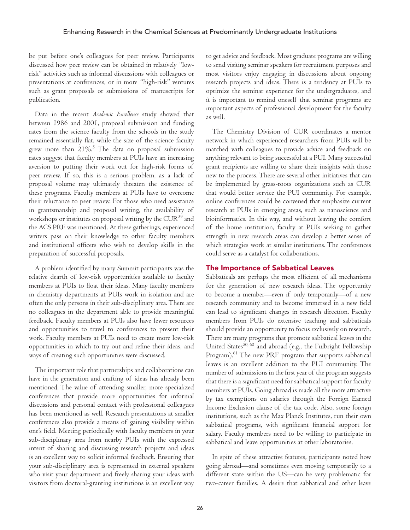be put before one's colleagues for peer review. Participants discussed how peer review can be obtained in relatively "lowrisk" activities such as informal discussions with colleagues or presentations at conferences, or in more "high-risk" ventures such as grant proposals or submissions of manuscripts for publication.

Data in the recent *Academic Excellence* study showed that between 1986 and 2001, proposal submission and funding rates from the science faculty from the schools in the study remained essentially flat, while the size of the science faculty grew more than  $21\%$ .<sup>5</sup> The data on proposal submission rates suggest that faculty members at PUIs have an increasing aversion to putting their work out for high-risk forms of peer review. If so, this is a serious problem, as a lack of proposal volume may ultimately threaten the existence of these programs. Faculty members at PUIs have to overcome their reluctance to peer review. For those who need assistance in grantsmanship and proposal writing, the availability of workshops or institutes on proposal writing by the CUR<sup>59</sup> and the ACS PRF was mentioned. At these gatherings, experienced writers pass on their knowledge to other faculty members and institutional officers who wish to develop skills in the preparation of successful proposals.

A problem identified by many Summit participants was the relative dearth of low-risk opportunities available to faculty members at PUIs to float their ideas. Many faculty members in chemistry departments at PUIs work in isolation and are often the only persons in their sub-disciplinary area. There are no colleagues in the department able to provide meaningful feedback. Faculty members at PUIs also have fewer resources and opportunities to travel to conferences to present their work. Faculty members at PUIs need to create more low-risk opportunities in which to try out and refine their ideas, and ways of creating such opportunities were discussed.

The important role that partnerships and collaborations can have in the generation and crafting of ideas has already been mentioned. The value of attending smaller, more specialized conferences that provide more opportunities for informal discussions and personal contact with professional colleagues has been mentioned as well. Research presentations at smaller conferences also provide a means of gaining visibility within one's field. Meeting periodically with faculty members in your sub-disciplinary area from nearby PUIs with the expressed intent of sharing and discussing research projects and ideas is an excellent way to solicit informal feedback. Ensuring that your sub-disciplinary area is represented in external speakers who visit your department and freely sharing your ideas with visitors from doctoral-granting institutions is an excellent way to get advice and feedback. Most graduate programs are willing to send visiting seminar speakers for recruitment purposes and most visitors enjoy engaging in discussions about ongoing research projects and ideas. There is a tendency at PUIs to optimize the seminar experience for the undergraduates, and it is important to remind oneself that seminar programs are important aspects of professional development for the faculty as well.

The Chemistry Division of CUR coordinates a mentor network in which experienced researchers from PUIs will be matched with colleagues to provide advice and feedback on anything relevant to being successful at a PUI. Many successful grant recipients are willing to share their insights with those new to the process. There are several other initiatives that can be implemented by grass-roots organizations such as CUR that would better service the PUI community. For example, online conferences could be convened that emphasize current research at PUIs in emerging areas, such as nanoscience and bioinformatics. In this way, and without leaving the comfort of the home institution, faculty at PUIs seeking to gather strength in new research areas can develop a better sense of which strategies work at similar institutions. The conferences could serve as a catalyst for collaborations.

### The Importance of Sabbatical Leaves

Sabbaticals are perhaps the most efficient of all mechanisms for the generation of new research ideas. The opportunity to become a member—even if only temporarily—of a new research community and to become immersed in a new field can lead to significant changes in research direction. Faculty members from PUIs do extensive teaching and sabbaticals should provide an opportunity to focus exclusively on research. There are many programs that promote sabbatical leaves in the United States<sup>50, 60</sup> and abroad (e.g., the Fulbright Fellowship Program).<sup>61</sup> The new PRF program that supports sabbatical leaves is an excellent addition to the PUI community. The number of submissions in the first year of the program suggests that there is a significant need for sabbatical support for faculty members at PUIs. Going abroad is made all the more attractive by tax exemptions on salaries through the Foreign Earned Income Exclusion clause of the tax code. Also, some foreign institutions, such as the Max Planck Institutes, run their own sabbatical programs, with significant financial support for salary. Faculty members need to be willing to participate in sabbatical and leave opportunities at other laboratories.

In spite of these attractive features, participants noted how going abroad—and sometimes even moving temporarily to a different state within the US—can be very problematic for two-career families. A desire that sabbatical and other leave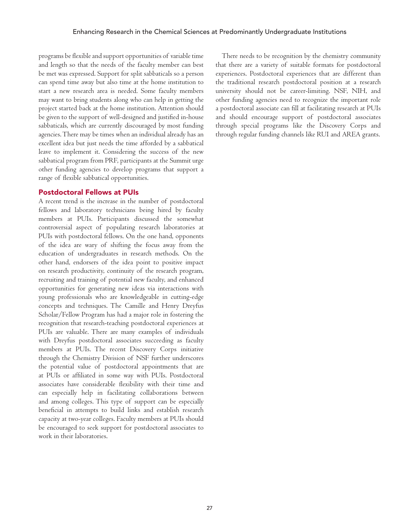programs be flexible and support opportunities of variable time and length so that the needs of the faculty member can best be met was expressed. Support for split sabbaticals so a person can spend time away but also time at the home institution to start a new research area is needed. Some faculty members may want to bring students along who can help in getting the project started back at the home institution. Attention should be given to the support of well-designed and justified in-house sabbaticals, which are currently discouraged by most funding agencies. There may be times when an individual already has an excellent idea but just needs the time afforded by a sabbatical leave to implement it. Considering the success of the new sabbatical program from PRF, participants at the Summit urge other funding agencies to develop programs that support a range of flexible sabbatical opportunities.

### Postdoctoral Fellows at PUIs

A recent trend is the increase in the number of postdoctoral fellows and laboratory technicians being hired by faculty members at PUIs. Participants discussed the somewhat controversial aspect of populating research laboratories at PUIs with postdoctoral fellows. On the one hand, opponents of the idea are wary of shifting the focus away from the education of undergraduates in research methods. On the other hand, endorsers of the idea point to positive impact on research productivity, continuity of the research program, recruiting and training of potential new faculty, and enhanced opportunities for generating new ideas via interactions with young professionals who are knowledgeable in cutting-edge concepts and techniques. The Camille and Henry Dreyfus Scholar/Fellow Program has had a major role in fostering the recognition that research-teaching postdoctoral experiences at PUIs are valuable. There are many examples of individuals with Dreyfus postdoctoral associates succeeding as faculty members at PUIs. The recent Discovery Corps initiative through the Chemistry Division of NSF further underscores the potential value of postdoctoral appointments that are at PUIs or affiliated in some way with PUIs. Postdoctoral associates have considerable flexibility with their time and can especially help in facilitating collaborations between and among colleges. This type of support can be especially beneficial in attempts to build links and establish research capacity at two-year colleges. Faculty members at PUIs should be encouraged to seek support for postdoctoral associates to work in their laboratories.

There needs to be recognition by the chemistry community that there are a variety of suitable formats for postdoctoral experiences. Postdoctoral experiences that are different than the traditional research postdoctoral position at a research university should not be career-limiting. NSF, NIH, and other funding agencies need to recognize the important role a postdoctoral associate can fill at facilitating research at PUIs and should encourage support of postdoctoral associates through special programs like the Discovery Corps and through regular funding channels like RUI and AREA grants.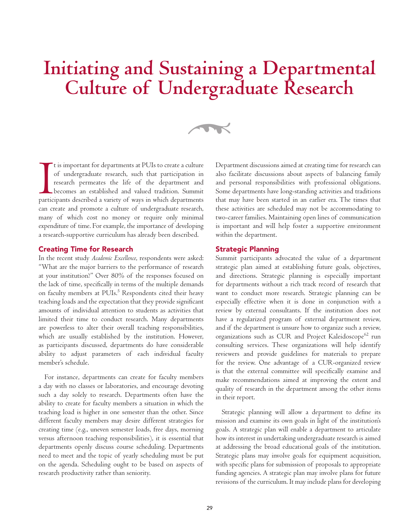# **Initiating and Sustaining a Departmental Culture of Undergraduate Research**

 $\rightarrow$ 

It is important for departments at PUIs to create a culture<br>of undergraduate research, such that participation in<br>research permeates the life of the department and<br>becomes an established and valued tradition. Summit<br>partic t is important for departments at PUIs to create a culture of undergraduate research, such that participation in research permeates the life of the department and becomes an established and valued tradition. Summit can create and promote a culture of undergraduate research, many of which cost no money or require only minimal expenditure of time. For example, the importance of developing a research-supportive curriculum has already been described.

### Creating Time for Research

In the recent study *Academic Excellence*, respondents were asked: "What are the major barriers to the performance of research at your institution?" Over 80% of the responses focused on the lack of time, specifically in terms of the multiple demands on faculty members at PUIs.<sup>5</sup> Respondents cited their heavy teaching loads and the expectation that they provide significant amounts of individual attention to students as activities that limited their time to conduct research. Many departments are powerless to alter their overall teaching responsibilities, which are usually established by the institution. However, as participants discussed, departments do have considerable ability to adjust parameters of each individual faculty member's schedule.

For instance, departments can create for faculty members a day with no classes or laboratories, and encourage devoting such a day solely to research. Departments often have the ability to create for faculty members a situation in which the teaching load is higher in one semester than the other. Since different faculty members may desire different strategies for creating time (e.g., uneven semester loads, free days, morning versus afternoon teaching responsibilities), it is essential that departments openly discuss course scheduling. Departments need to meet and the topic of yearly scheduling must be put on the agenda. Scheduling ought to be based on aspects of research productivity rather than seniority.

Department discussions aimed at creating time for research can also facilitate discussions about aspects of balancing family and personal responsibilities with professional obligations. Some departments have long-standing activities and traditions that may have been started in an earlier era. The times that these activities are scheduled may not be accommodating to two-career families. Maintaining open lines of communication is important and will help foster a supportive environment within the department.

### Strategic Planning

Summit participants advocated the value of a department strategic plan aimed at establishing future goals, objectives, and directions. Strategic planning is especially important for departments without a rich track record of research that want to conduct more research. Strategic planning can be especially effective when it is done in conjunction with a review by external consultants. If the institution does not have a regularized program of external department review, and if the department is unsure how to organize such a review, organizations such as CUR and Project Kaleidoscope<sup>62</sup> run consulting services. These organizations will help identify reviewers and provide guidelines for materials to prepare for the review. One advantage of a CUR-organized review is that the external committee will specifically examine and make recommendations aimed at improving the extent and quality of research in the department among the other items in their report.

Strategic planning will allow a department to define its mission and examine its own goals in light of the institution's goals. A strategic plan will enable a department to articulate how its interest in undertaking undergraduate research is aimed at addressing the broad educational goals of the institution. Strategic plans may involve goals for equipment acquisition, with specific plans for submission of proposals to appropriate funding agencies. A strategic plan may involve plans for future revisions of the curriculum. It may include plans for developing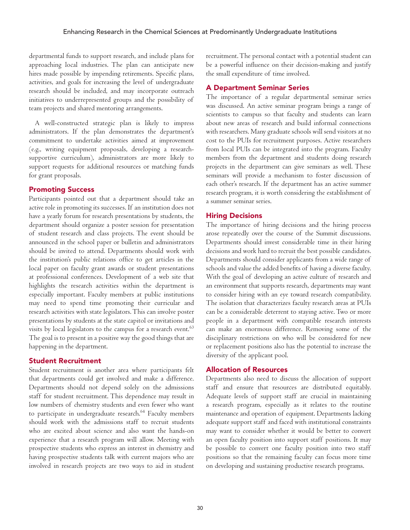departmental funds to support research, and include plans for approaching local industries. The plan can anticipate new hires made possible by impending retirements. Specific plans, activities, and goals for increasing the level of undergraduate research should be included, and may incorporate outreach initiatives to underrepresented groups and the possibility of team projects and shared mentoring arrangements.

A well-constructed strategic plan is likely to impress administrators. If the plan demonstrates the department's commitment to undertake activities aimed at improvement (e.g., writing equipment proposals, developing a researchsupportive curriculum), administrators are more likely to support requests for additional resources or matching funds for grant proposals.

### Promoting Success

Participants pointed out that a department should take an active role in promoting its successes. If an institution does not have a yearly forum for research presentations by students, the department should organize a poster session for presentation of student research and class projects. The event should be announced in the school paper or bulletin and administrators should be invited to attend. Departments should work with the institution's public relations office to get articles in the local paper on faculty grant awards or student presentations at professional conferences. Development of a web site that highlights the research activities within the department is especially important. Faculty members at public institutions may need to spend time promoting their curricular and research activities with state legislators. This can involve poster presentations by students at the state capitol or invitations and visits by local legislators to the campus for a research event.<sup>63</sup> The goal is to present in a positive way the good things that are happening in the department.

### Student Recruitment

Student recruitment is another area where participants felt that departments could get involved and make a difference. Departments should not depend solely on the admissions staff for student recruitment. This dependence may result in low numbers of chemistry students and even fewer who want to participate in undergraduate research.<sup>64</sup> Faculty members should work with the admissions staff to recruit students who are excited about science and also want the hands-on experience that a research program will allow. Meeting with prospective students who express an interest in chemistry and having prospective students talk with current majors who are involved in research projects are two ways to aid in student recruitment. The personal contact with a potential student can be a powerful influence on their decision-making and justify the small expenditure of time involved.

### A Department Seminar Series

The importance of a regular departmental seminar series was discussed. An active seminar program brings a range of scientists to campus so that faculty and students can learn about new areas of research and build informal connections with researchers. Many graduate schools will send visitors at no cost to the PUIs for recruitment purposes. Active researchers from local PUIs can be integrated into the program. Faculty members from the department and students doing research projects in the department can give seminars as well. These seminars will provide a mechanism to foster discussion of each other's research. If the department has an active summer research program, it is worth considering the establishment of a summer seminar series.

### Hiring Decisions

The importance of hiring decisions and the hiring process arose repeatedly over the course of the Summit discussions. Departments should invest considerable time in their hiring decisions and work hard to recruit the best possible candidates. Departments should consider applicants from a wide range of schools and value the added benefits of having a diverse faculty. With the goal of developing an active culture of research and an environment that supports research, departments may want to consider hiring with an eye toward research compatibility. The isolation that characterizes faculty research areas at PUIs can be a considerable deterrent to staying active. Two or more people in a department with compatible research interests can make an enormous difference. Removing some of the disciplinary restrictions on who will be considered for new or replacement positions also has the potential to increase the diversity of the applicant pool.

### Allocation of Resources

Departments also need to discuss the allocation of support staff and ensure that resources are distributed equitably. Adequate levels of support staff are crucial in maintaining a research program, especially as it relates to the routine maintenance and operation of equipment. Departments lacking adequate support staff and faced with institutional constraints may want to consider whether it would be better to convert an open faculty position into support staff positions. It may be possible to convert one faculty position into two staff positions so that the remaining faculty can focus more time on developing and sustaining productive research programs.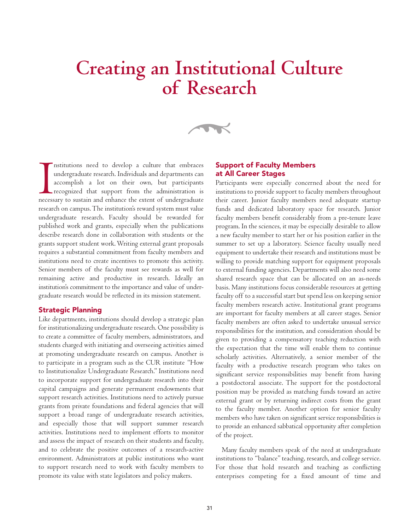# **Creating an Institutional Culture of Research**

 $\rightarrow$ 

nstitutions need to develop a culture that embraces<br>undergraduate research. Individuals and departments can<br>accomplish a lot on their own, but participants<br>recognized that support from the administration is<br>necessary to su nstitutions need to develop a culture that embraces undergraduate research. Individuals and departments can accomplish a lot on their own, but participants recognized that support from the administration is research on campus. The institution's reward system must value undergraduate research. Faculty should be rewarded for published work and grants, especially when the publications describe research done in collaboration with students or the grants support student work. Writing external grant proposals requires a substantial commitment from faculty members and institutions need to create incentives to promote this activity. Senior members of the faculty must see rewards as well for remaining active and productive in research. Ideally an institution's commitment to the importance and value of undergraduate research would be reflected in its mission statement.

### Strategic Planning

Like departments, institutions should develop a strategic plan for institutionalizing undergraduate research. One possibility is to create a committee of faculty members, administrators, and students charged with initiating and overseeing activities aimed at promoting undergraduate research on campus. Another is to participate in a program such as the CUR institute "How to Institutionalize Undergraduate Research." Institutions need to incorporate support for undergraduate research into their capital campaigns and generate permanent endowments that support research activities. Institutions need to actively pursue grants from private foundations and federal agencies that will support a broad range of undergraduate research activities, and especially those that will support summer research activities. Institutions need to implement efforts to monitor and assess the impact of research on their students and faculty, and to celebrate the positive outcomes of a research-active environment. Administrators at public institutions who want to support research need to work with faculty members to promote its value with state legislators and policy makers.

### Support of Faculty Members at All Career Stages

Participants were especially concerned about the need for institutions to provide support to faculty members throughout their career. Junior faculty members need adequate startup funds and dedicated laboratory space for research. Junior faculty members benefit considerably from a pre-tenure leave program. In the sciences, it may be especially desirable to allow a new faculty member to start her or his position earlier in the summer to set up a laboratory. Science faculty usually need equipment to undertake their research and institutions must be willing to provide matching support for equipment proposals to external funding agencies. Departments will also need some shared research space that can be allocated on an as-needs basis. Many institutions focus considerable resources at getting faculty off to a successful start but spend less on keeping senior faculty members research active. Institutional grant programs are important for faculty members at all career stages. Senior faculty members are often asked to undertake unusual service responsibilities for the institution, and consideration should be given to providing a compensatory teaching reduction with the expectation that the time will enable them to continue scholarly activities. Alternatively, a senior member of the faculty with a productive research program who takes on significant service responsibilities may benefit from having a postdoctoral associate. The support for the postdoctoral position may be provided as matching funds toward an active external grant or by returning indirect costs from the grant to the faculty member. Another option for senior faculty members who have taken on significant service responsibilities is to provide an enhanced sabbatical opportunity after completion of the project.

Many faculty members speak of the need at undergraduate institutions to "balance" teaching, research, and college service. For those that hold research and teaching as conflicting enterprises competing for a fixed amount of time and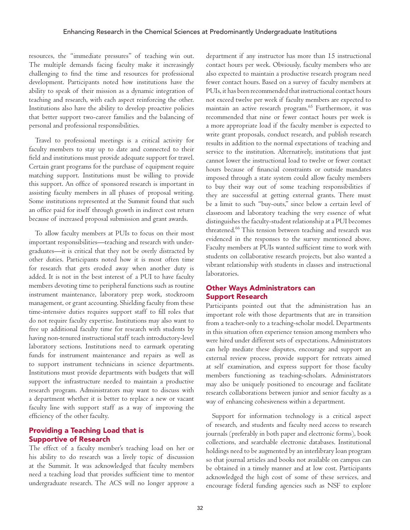resources, the "immediate pressures" of teaching win out. The multiple demands facing faculty make it increasingly challenging to find the time and resources for professional development. Participants noted how institutions have the ability to speak of their mission as a dynamic integration of teaching and research, with each aspect reinforcing the other. Institutions also have the ability to develop proactive policies that better support two-career families and the balancing of personal and professional responsibilities.

Travel to professional meetings is a critical activity for faculty members to stay up to date and connected to their field and institutions must provide adequate support for travel. Certain grant programs for the purchase of equipment require matching support. Institutions must be willing to provide this support. An office of sponsored research is important in assisting faculty members in all phases of proposal writing. Some institutions represented at the Summit found that such an office paid for itself through growth in indirect cost return because of increased proposal submission and grant awards.

To allow faculty members at PUIs to focus on their most important responsibilities—teaching and research with undergraduates—it is critical that they not be overly distracted by other duties. Participants noted how it is most often time for research that gets eroded away when another duty is added. It is not in the best interest of a PUI to have faculty members devoting time to peripheral functions such as routine instrument maintenance, laboratory prep work, stockroom management, or grant accounting. Shielding faculty from these time-intensive duties requires support staff to fill roles that do not require faculty expertise. Institutions may also want to free up additional faculty time for research with students by having non-tenured instructional staff teach introductory-level laboratory sections. Institutions need to earmark operating funds for instrument maintenance and repairs as well as to support instrument technicians in science departments. Institutions must provide departments with budgets that will support the infrastructure needed to maintain a productive research program. Administrators may want to discuss with a department whether it is better to replace a new or vacant faculty line with support staff as a way of improving the efficiency of the other faculty.

### Providing a Teaching Load that is Supportive of Research

The effect of a faculty member's teaching load on her or his ability to do research was a lively topic of discussion at the Summit. It was acknowledged that faculty members need a teaching load that provides sufficient time to mentor undergraduate research. The ACS will no longer approve a department if any instructor has more than 15 instructional contact hours per week. Obviously, faculty members who are also expected to maintain a productive research program need fewer contact hours. Based on a survey of faculty members at PUIs, it has been recommended that instructional contact hours not exceed twelve per week if faculty members are expected to maintain an active research program.<sup>65</sup> Furthermore, it was recommended that nine or fewer contact hours per week is a more appropriate load if the faculty member is expected to write grant proposals, conduct research, and publish research results in addition to the normal expectations of teaching and service to the institution. Alternatively, institutions that just cannot lower the instructional load to twelve or fewer contact hours because of financial constraints or outside mandates imposed through a state system could allow faculty members to buy their way out of some teaching responsibilities if they are successful at getting external grants. There must be a limit to such "buy-outs," since below a certain level of classroom and laboratory teaching the very essence of what distinguishes the faculty-student relationship at a PUI becomes threatened.66 This tension between teaching and research was evidenced in the responses to the survey mentioned above. Faculty members at PUIs wanted sufficient time to work with students on collaborative research projects, but also wanted a vibrant relationship with students in classes and instructional laboratories.

### Other Ways Administrators can Support Research

Participants pointed out that the administration has an important role with those departments that are in transition from a teacher-only to a teaching-scholar model. Departments in this situation often experience tension among members who were hired under different sets of expectations. Administrators can help mediate these disputes, encourage and support an external review process, provide support for retreats aimed at self examination, and express support for those faculty members functioning as teaching-scholars. Administrators may also be uniquely positioned to encourage and facilitate research collaborations between junior and senior faculty as a way of enhancing cohesiveness within a department.

Support for information technology is a critical aspect of research, and students and faculty need access to research journals (preferably in both paper and electronic forms), book collections, and searchable electronic databases. Institutional holdings need to be augmented by an interlibrary loan program so that journal articles and books not available on campus can be obtained in a timely manner and at low cost. Participants acknowledged the high cost of some of these services, and encourage federal funding agencies such as NSF to explore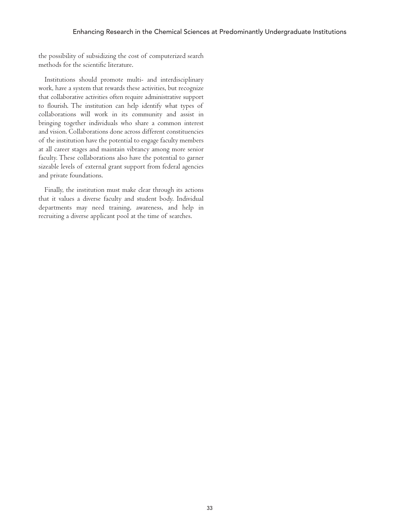the possibility of subsidizing the cost of computerized search methods for the scientific literature.

Institutions should promote multi- and interdisciplinary work, have a system that rewards these activities, but recognize that collaborative activities often require administrative support to flourish. The institution can help identify what types of collaborations will work in its community and assist in bringing together individuals who share a common interest and vision. Collaborations done across different constituencies of the institution have the potential to engage faculty members at all career stages and maintain vibrancy among more senior faculty. These collaborations also have the potential to garner sizeable levels of external grant support from federal agencies and private foundations.

Finally, the institution must make clear through its actions that it values a diverse faculty and student body. Individual departments may need training, awareness, and help in recruiting a diverse applicant pool at the time of searches.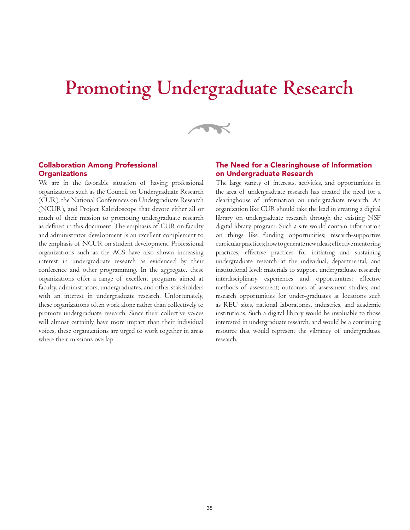# **Promoting Undergraduate Research**

 $\rightarrow$ 

### Collaboration Among Professional **Organizations**

We are in the favorable situation of having professional organizations such as the Council on Undergraduate Research (CUR), the National Conferences on Undergraduate Research (NCUR), and Project Kaleidoscope that devote either all or much of their mission to promoting undergraduate research as defined in this document. The emphasis of CUR on faculty and administrator development is an excellent complement to the emphasis of NCUR on student development. Professional organizations such as the ACS have also shown increasing interest in undergraduate research as evidenced by their conference and other programming. In the aggregate, these organizations offer a range of excellent programs aimed at faculty, administrators, undergraduates, and other stakeholders with an interest in undergraduate research. Unfortunately, these organizations often work alone rather than collectively to promote undergraduate research. Since their collective voices will almost certainly have more impact than their individual voices, these organizations are urged to work together in areas where their missions overlap.

### The Need for a Clearinghouse of Information on Undergraduate Research

The large variety of interests, activities, and opportunities in the area of undergraduate research has created the need for a clearinghouse of information on undergraduate research. An organization like CUR should take the lead in creating a digital library on undergraduate research through the existing NSF digital library program. Such a site would contain information on things like funding opportunities; research-supportive curricular practices; how to generate new ideas; effective mentoring practices; effective practices for initiating and sustaining undergraduate research at the individual, departmental, and institutional level; materials to support undergraduate research; interdisciplinary experiences and opportunities; effective methods of assessment; outcomes of assessment studies; and research opportunities for under-graduates at locations such as REU sites, national laboratories, industries, and academic institutions. Such a digital library would be invaluable to those interested in undergraduate research, and would be a continuing resource that would represent the vibrancy of undergraduate research.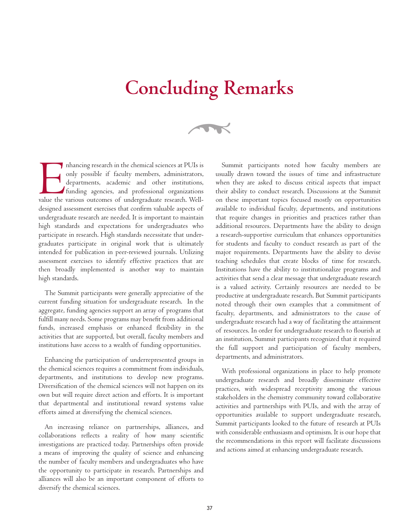# **Concluding Remarks**

 $\rightarrow$ 

Enhancing research in the chemical sciences at PUIs is only possible if faculty members, administrators, departments, academic and other institutions, funding agencies, and professional organizations value the various outcomes of undergraduate research. Welldesigned assessment exercises that confirm valuable aspects of undergraduate research are needed. It is important to maintain high standards and expectations for undergraduates who participate in research. High standards necessitate that undergraduates participate in original work that is ultimately intended for publication in peer-reviewed journals. Utilizing assessment exercises to identify effective practices that are then broadly implemented is another way to maintain high standards.

The Summit participants were generally appreciative of the current funding situation for undergraduate research. In the aggregate, funding agencies support an array of programs that fulfill many needs. Some programs may benefit from additional funds, increased emphasis or enhanced flexibility in the activities that are supported, but overall, faculty members and institutions have access to a wealth of funding opportunities.

Enhancing the participation of underrepresented groups in the chemical sciences requires a commitment from individuals, departments, and institutions to develop new programs. Diversification of the chemical sciences will not happen on its own but will require direct action and efforts. It is important that departmental and institutional reward systems value efforts aimed at diversifying the chemical sciences.

An increasing reliance on partnerships, alliances, and collaborations reflects a reality of how many scientific investigations are practiced today. Partnerships often provide a means of improving the quality of science and enhancing the number of faculty members and undergraduates who have the opportunity to participate in research. Partnerships and alliances will also be an important component of efforts to diversify the chemical sciences.

Summit participants noted how faculty members are usually drawn toward the issues of time and infrastructure when they are asked to discuss critical aspects that impact their ability to conduct research. Discussions at the Summit on these important topics focused mostly on opportunities available to individual faculty, departments, and institutions that require changes in priorities and practices rather than additional resources. Departments have the ability to design a research-supportive curriculum that enhances opportunities for students and faculty to conduct research as part of the major requirements. Departments have the ability to devise teaching schedules that create blocks of time for research. Institutions have the ability to institutionalize programs and activities that send a clear message that undergraduate research is a valued activity. Certainly resources are needed to be productive at undergraduate research. But Summit participants noted through their own examples that a commitment of faculty, departments, and administrators to the cause of undergraduate research had a way of facilitating the attainment of resources. In order for undergraduate research to flourish at an institution, Summit participants recognized that it required the full support and participation of faculty members, departments, and administrators.

With professional organizations in place to help promote undergraduate research and broadly disseminate effective practices, with widespread receptivity among the various stakeholders in the chemistry community toward collaborative activities and partnerships with PUIs, and with the array of opportunities available to support undergraduate research, Summit participants looked to the future of research at PUIs with considerable enthusiasm and optimism. It is our hope that the recommendations in this report will facilitate discussions and actions aimed at enhancing undergraduate research.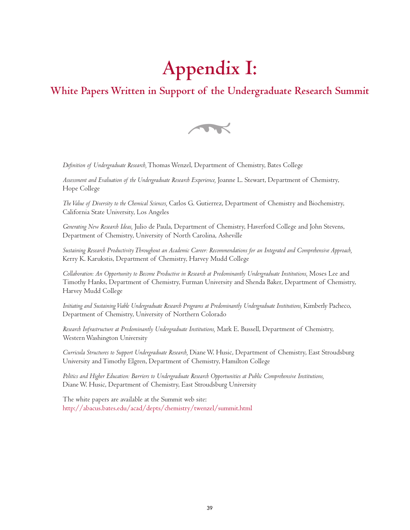# **Appendix I:**

### **White Papers Written in Support of the Undergraduate Research Summit**



*Definition of Undergraduate Research,* Thomas Wenzel, Department of Chemistry, Bates College

*Assessment and Evaluation of the Undergraduate Research Experience,* Joanne L. Stewart, Department of Chemistry, Hope College

*The Value of Diversity to the Chemical Sciences,* Carlos G. Gutierrez, Department of Chemistry and Biochemistry, California State University, Los Angeles

*Generating New Research Ideas,* Julio de Paula, Department of Chemistry, Haverford College and John Stevens, Department of Chemistry, University of North Carolina, Asheville

*Sustaining Research Productivity Throughout an Academic Career: Recommendations for an Integrated and Comprehensive Approach,* Kerry K. Karukstis, Department of Chemistry, Harvey Mudd College

*Collaboration: An Opportunity to Become Productive in Research at Predominantly Undergraduate Institutions,* Moses Lee and Timothy Hanks, Department of Chemistry, Furman University and Shenda Baker, Department of Chemistry, Harvey Mudd College

*Initiating and Sustaining Viable Undergraduate Research Programs at Predominantly Undergraduate Institutions,* Kimberly Pacheco, Department of Chemistry, University of Northern Colorado

*Research Infrastructure at Predominantly Undergraduate Institutions,* Mark E. Bussell, Department of Chemistry, Western Washington University

*Curricula Structures to Support Undergraduate Research,* Diane W. Husic, Department of Chemistry, East Stroudsburg University and Timothy Elgren, Department of Chemistry, Hamilton College

*Politics and Higher Education: Barriers to Undergraduate Research Opportunities at Public Comprehensive Institutions,*  Diane W. Husic, Department of Chemistry, East Stroudsburg University

The white papers are available at the Summit web site: http://abacus.bates.edu/acad/depts/chemistry/twenzel/summit.html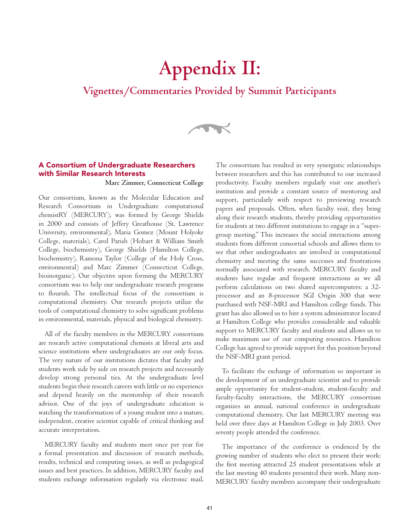# **Appendix II:**

### **Vignettes/Commentaries Provided by Summit Participants**

 $\rightarrow$ 

### A Consortium of Undergraduate Researchers with Similar Research Interests

**Marc Zimmer, Connecticut College**

Our consortium, known as the Molecular Education and Research Consortium in Undergraduate computational chemistRY (MERCURY), was formed by George Shields in 2000 and consists of Jeffery Greathouse (St. Lawrence University, environmental), Maria Gomez (Mount Holyoke College, materials), Carol Parish (Hobart & William Smith College, biochemistry), George Shields (Hamilton College, biochemistry), Ramona Taylor (College of the Holy Cross, environmental) and Marc Zimmer (Connecticut College, bioinorganic). Our objective upon forming the MERCURY consortium was to help our undergraduate research programs to flourish. The intellectual focus of the consortium is computational chemistry. Our research projects utilize the tools of computational chemistry to solve significant problems in environmental, materials, physical and biological chemistry.

All of the faculty members in the MERCURY consortium are research active computational chemists at liberal arts and science institutions where undergraduates are our only focus. The very nature of our institutions dictates that faculty and students work side by side on research projects and necessarily develop strong personal ties. At the undergraduate level students begin their research careers with little or no experience and depend heavily on the mentorship of their research advisor. One of the joys of undergraduate education is watching the transformation of a young student into a mature, independent, creative scientist capable of critical thinking and accurate interpretation.

MERCURY faculty and students meet once per year for a formal presentation and discussion of research methods, results, technical and computing issues, as well as pedagogical issues and best practices. In addition, MERCURY faculty and students exchange information regularly via electronic mail.

The consortium has resulted in very synergistic relationships between researchers and this has contributed to our increased productivity. Faculty members regularly visit one another's institution and provide a constant source of mentoring and support, particularly with respect to previewing research papers and proposals. Often, when faculty visit, they bring along their research students, thereby providing opportunities for students at two different institutions to engage in a "supergroup meeting." This increases the social interactions among students from different consortial schools and allows them to see that other undergraduates are involved in computational chemistry and meeting the same successes and frustrations normally associated with research. MERCURY faculty and students have regular and frequent interactions as we all perform calculations on two shared supercomputers: a 32 processor and an 8-processor SGI Origin 300 that were purchased with NSF-MRI and Hamilton college funds. This grant has also allowed us to hire a system administrator located at Hamilton College who provides considerable and valuable support to MERCURY faculty and students and allows us to make maximum use of our computing resources. Hamilton College has agreed to provide support for this position beyond the NSF-MRI grant period.

To facilitate the exchange of information so important in the development of an undergraduate scientist and to provide ample opportunity for student-student, student-faculty and faculty-faculty interactions, the MERCURY consortium organizes an annual, national conference in undergraduate computational chemistry. Our last MERCURY meeting was held over three days at Hamilton College in July 2003. Over seventy people attended the conference.

The importance of the conference is evidenced by the growing number of students who elect to present their work: the first meeting attracted 25 student presentations while at the last meeting 40 students presented their work. Many non-MERCURY faculty members accompany their undergraduate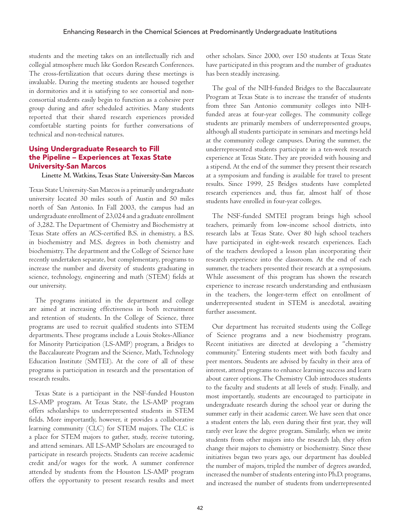students and the meeting takes on an intellectually rich and collegial atmosphere much like Gordon Research Conferences. The cross-fertilization that occurs during these meetings is invaluable. During the meeting students are housed together in dormitories and it is satisfying to see consortial and nonconsortial students easily begin to function as a cohesive peer group during and after scheduled activities. Many students reported that their shared research experiences provided comfortable starting points for further conversations of technical and non-technical natures.

### Using Undergraduate Research to Fill the Pipeline – Experiences at Texas State University-San Marcos

### **Linette M. Watkins, Texas State University-San Marcos**

Texas State University-San Marcos is a primarily undergraduate university located 30 miles south of Austin and 50 miles north of San Antonio. In Fall 2003, the campus had an undergraduate enrollment of 23,024 and a graduate enrollment of 3,282. The Department of Chemistry and Biochemistry at Texas State offers an ACS-certified B.S. in chemistry, a B.S. in biochemistry and M.S. degrees in both chemistry and biochemistry. The department and the College of Science have recently undertaken separate, but complementary, programs to increase the number and diversity of students graduating in science, technology, engineering and math (STEM) fields at our university.

The programs initiated in the department and college are aimed at increasing effectiveness in both recruitment and retention of students. In the College of Science, three programs are used to recruit qualified students into STEM departments. These programs include a Louis Stokes-Alliance for Minority Participation (LS-AMP) program, a Bridges to the Baccalaureate Program and the Science, Math, Technology Education Institute (SMTEI). At the core of all of these programs is participation in research and the presentation of research results.

Texas State is a participant in the NSF-funded Houston LS-AMP program. At Texas State, the LS-AMP program offers scholarships to underrepresented students in STEM fields. More importantly, however, it provides a collaborative learning community (CLC) for STEM majors. The CLC is a place for STEM majors to gather, study, receive tutoring, and attend seminars. All LS-AMP Scholars are encouraged to participate in research projects. Students can receive academic credit and/or wages for the work. A summer conference attended by students from the Houston LS-AMP program offers the opportunity to present research results and meet other scholars. Since 2000, over 150 students at Texas State have participated in this program and the number of graduates has been steadily increasing.

The goal of the NIH-funded Bridges to the Baccalaureate Program at Texas State is to increase the transfer of students from three San Antonio community colleges into NIHfunded areas at four-year colleges. The community college students are primarily members of underrepresented groups, although all students participate in seminars and meetings held at the community college campuses. During the summer, the underrepresented students participate in a ten-week research experience at Texas State. They are provided with housing and a stipend. At the end of the summer they present their research at a symposium and funding is available for travel to present results. Since 1999, 25 Bridges students have completed research experiences and, thus far, almost half of those students have enrolled in four-year colleges.

The NSF-funded SMTEI program brings high school teachers, primarily from low-income school districts, into research labs at Texas State. Over 80 high school teachers have participated in eight-week research experiences. Each of the teachers developed a lesson plan incorporating their research experience into the classroom. At the end of each summer, the teachers presented their research at a symposium. While assessment of this program has shown the research experience to increase research understanding and enthusiasm in the teachers, the longer-term effect on enrollment of underrepresented student in STEM is anecdotal, awaiting further assessment.

Our department has recruited students using the College of Science programs and a new biochemistry program. Recent initiatives are directed at developing a "chemistry community." Entering students meet with both faculty and peer mentors. Students are advised by faculty in their area of interest, attend programs to enhance learning success and learn about career options. The Chemistry Club introduces students to the faculty and students at all levels of study. Finally, and most importantly, students are encouraged to participate in undergraduate research during the school year or during the summer early in their academic career. We have seen that once a student enters the lab, even during their first year, they will rarely ever leave the degree program. Similarly, when we invite students from other majors into the research lab, they often change their majors to chemistry or biochemistry. Since these initiatives began two years ago, our department has doubled the number of majors, tripled the number of degrees awarded, increased the number of students entering into Ph.D. programs, and increased the number of students from underrepresented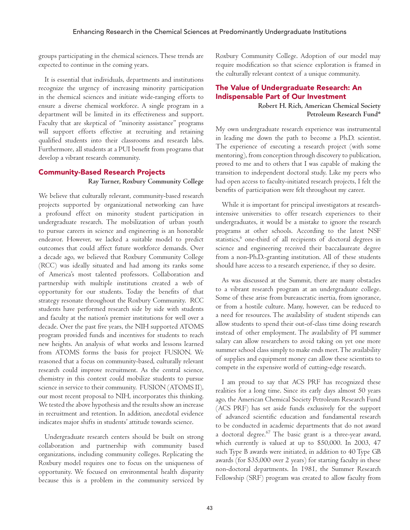groups participating in the chemical sciences. These trends are expected to continue in the coming years.

It is essential that individuals, departments and institutions recognize the urgency of increasing minority participation in the chemical sciences and initiate wide-ranging efforts to ensure a diverse chemical workforce. A single program in a department will be limited in its effectiveness and support. Faculty that are skeptical of "minority assistance" programs will support efforts effective at recruiting and retaining qualified students into their classrooms and research labs. Furthermore, all students at a PUI benefit from programs that develop a vibrant research community.

### Community-Based Research Projects

### **Ray Turner, Roxbury Community College**

We believe that culturally relevant, community-based research projects supported by organizational networking can have a profound effect on minority student participation in undergraduate research. The mobilization of urban youth to pursue careers in science and engineering is an honorable endeavor. However, we lacked a suitable model to predict outcomes that could affect future workforce demands. Over a decade ago, we believed that Roxbury Community College (RCC) was ideally situated and had among its ranks some of America's most talented professors. Collaboration and partnership with multiple institutions created a web of opportunity for our students. Today the benefits of that strategy resonate throughout the Roxbury Community. RCC students have performed research side by side with students and faculty at the nation's premier institutions for well over a decade. Over the past five years, the NIH supported ATOMS program provided funds and incentives for students to reach new heights. An analysis of what works and lessons learned from ATOMS forms the basis for project FUSION. We reasoned that a focus on community-based, culturally relevant research could improve recruitment. As the central science, chemistry in this context could mobilize students to pursue science in service to their community. FUSION (ATOMS II), our most recent proposal to NIH, incorporates this thinking. We tested the above hypothesis and the results show an increase in recruitment and retention. In addition, anecdotal evidence indicates major shifts in students' attitude towards science.

Undergraduate research centers should be built on strong collaboration and partnership with community based organizations, including community colleges. Replicating the Roxbury model requires one to focus on the uniqueness of opportunity. We focused on environmental health disparity because this is a problem in the community serviced by Roxbury Community College. Adoption of our model may require modification so that science exploration is framed in the culturally relevant context of a unique community.

### The Value of Undergraduate Research: An Indispensable Part of Our Investment

**Robert H. Rich, American Chemical Society Petroleum Research Fund\***

My own undergraduate research experience was instrumental in leading me down the path to become a Ph.D. scientist. The experience of executing a research project (with some mentoring), from conception through discovery to publication, proved to me and to others that I was capable of making the transition to independent doctoral study. Like my peers who had open access to faculty-initiated research projects, I felt the benefits of participation were felt throughout my career.

While it is important for principal investigators at researchintensive universities to offer research experiences to their undergraduates, it would be a mistake to ignore the research programs at other schools. According to the latest NSF statistics,<sup>6</sup> one-third of all recipients of doctoral degrees in science and engineering received their baccalaureate degree from a non-Ph.D.-granting institution. All of these students should have access to a research experience, if they so desire.

As was discussed at the Summit, there are many obstacles to a vibrant research program at an undergraduate college. Some of these arise from bureaucratic inertia, from ignorance, or from a hostile culture. Many, however, can be reduced to a need for resources. The availability of student stipends can allow students to spend their out-of-class time doing research instead of other employment. The availability of PI summer salary can allow researchers to avoid taking on yet one more summer school class simply to make ends meet. The availability of supplies and equipment money can allow these scientists to compete in the expensive world of cutting-edge research.

I am proud to say that ACS PRF has recognized these realities for a long time. Since its early days almost 50 years ago, the American Chemical Society Petroleum Research Fund (ACS PRF) has set aside funds exclusively for the support of advanced scientific education and fundamental research to be conducted in academic departments that do not award a doctoral degree. $67$  The basic grant is a three-year award, which currently is valued at up to \$50,000. In 2003, 47 such Type B awards were initiated, in addition to 40 Type GB awards (for \$35,000 over 2 years) for starting faculty in these non-doctoral departments. In 1981, the Summer Research Fellowship (SRF) program was created to allow faculty from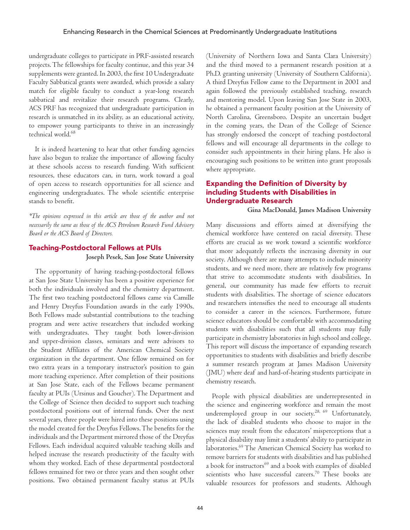undergraduate colleges to participate in PRF-assisted research projects. The fellowships for faculty continue, and this year 34 supplements were granted. In 2003, the first 10 Undergraduate Faculty Sabbatical grants were awarded, which provide a salary match for eligible faculty to conduct a year-long research sabbatical and revitalize their research programs. Clearly, ACS PRF has recognized that undergraduate participation in research is unmatched in its ability, as an educational activity, to empower young participants to thrive in an increasingly technical world.68

It is indeed heartening to hear that other funding agencies have also begun to realize the importance of allowing faculty at these schools access to research funding. With sufficient resources, these educators can, in turn, work toward a goal of open access to research opportunities for all science and engineering undergraduates. The whole scientific enterprise stands to benefit.

*\*The opinions expressed in this article are those of the author and not necessarily the same as those of the ACS Petroleum Research Fund Advisory Board or the ACS Board of Directors.*

### Teaching-Postdoctoral Fellows at PUIs **Joseph Pesek, San Jose State University**

The opportunity of having teaching-postdoctoral fellows at San Jose State University has been a positive experience for both the individuals involved and the chemistry department. The first two teaching postdoctoral fellows came via Camille and Henry Dreyfus Foundation awards in the early 1990s. Both Fellows made substantial contributions to the teaching program and were active researchers that included working with undergraduates. They taught both lower-division and upper-division classes, seminars and were advisors to the Student Affiliates of the American Chemical Society organization in the department. One fellow remained on for two extra years in a temporary instructor's position to gain more teaching experience. After completion of their positions at San Jose State, each of the Fellows became permanent faculty at PUIs (Ursinus and Goucher). The Department and the College of Science then decided to support such teaching postdoctoral positions out of internal funds. Over the next several years, three people were hired into these positions using the model created for the Dreyfus Fellows. The benefits for the individuals and the Department mirrored those of the Dreyfus Fellows. Each individual acquired valuable teaching skills and helped increase the research productivity of the faculty with whom they worked. Each of these departmental postdoctoral fellows remained for two or three years and then sought other positions. Two obtained permanent faculty status at PUIs (University of Northern Iowa and Santa Clara University) and the third moved to a permanent research position at a Ph.D. granting university (University of Southern California). A third Dreyfus Fellow came to the Department in 2001 and again followed the previously established teaching, research and mentoring model. Upon leaving San Jose State in 2003, he obtained a permanent faculty position at the University of North Carolina, Greensboro. Despite an uncertain budget in the coming years, the Dean of the College of Science has strongly endorsed the concept of teaching postdoctoral fellows and will encourage all departments in the college to consider such appointments in their hiring plans. He also is encouraging such positions to be written into grant proposals where appropriate.

### Expanding the Definition of Diversity by including Students with Disabilities in Undergraduate Research

**Gina MacDonald, James Madison University**

Many discussions and efforts aimed at diversifying the chemical workforce have centered on racial diversity. These efforts are crucial as we work toward a scientific workforce that more adequately reflects the increasing diversity in our society. Although there are many attempts to include minority students, and we need more, there are relatively few programs that strive to accommodate students with disabilities. In general, our community has made few efforts to recruit students with disabilities. The shortage of science educators and researchers intensifies the need to encourage all students to consider a career in the sciences. Furthermore, future science educators should be comfortable with accommodating students with disabilities such that all students may fully participate in chemistry laboratories in high school and college. This report will discuss the importance of expanding research opportunities to students with disabilities and briefly describe a summer research program at James Madison University (JMU) where deaf and hard-of-hearing students participate in chemistry research.

People with physical disabilities are underrepresented in the science and engineering workforce and remain the most underemployed group in our society.28, 69 Unfortunately, the lack of disabled students who choose to major in the sciences may result from the educators' misperceptions that a physical disability may limit a students' ability to participate in laboratories.69 The American Chemical Society has worked to remove barriers for students with disabilities and has published a book for instructors<sup>69</sup> and a book with examples of disabled scientists who have successful careers. $70$  These books are valuable resources for professors and students. Although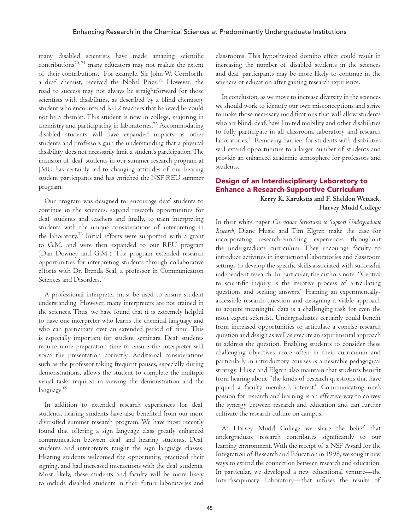many disabled scientists have made amazing scientific contributions<sup>70, 71</sup> many educators may not realize the extent of their contributions. For example, Sir John W. Cornforth, a deaf chemist, received the Nobel Prize.71 However, the road to success may not always be straightforward for those scientists with disabilities, as described by a blind chemistry student who encountered K-12 teachers that believed he could not be a chemist. This student is now in college, majoring in chemistry and participating in laboratories.72 Accommodating disabled students will have expanded impacts as other students and professors gain the understanding that a physical disability does not necessarily limit a student's participation. The inclusion of deaf students in our summer research program at JMU has certainly led to changing attitudes of our hearing student participants and has enriched the NSF REU summer program.

Our program was designed to: encourage deaf students to continue in the sciences, expand research opportunities for deaf students and teachers and finally, to train interpreting students with the unique considerations of interpreting in the laboratory.73 Initial efforts were supported with a grant to G.M. and were then expanded to our REU program (Dan Downey and G.M.). The program extended research opportunities for interpreting students through collaborative efforts with Dr. Brenda Seal, a professor in Communication Sciences and Disorders.73

A professional interpreter must be used to ensure student understanding. However, many interpreters are not trained in the sciences. Thus, we have found that it is extremely helpful to have one interpreter who learns the chemical language and who can participate over an extended period of time. This is especially important for student seminars. Deaf students require more preparation time to ensure the interpreter will voice the presentation correctly. Additional considerations such as the professor taking frequent pauses, especially during demonstrations, allows the student to complete the multiple visual tasks required in viewing the demonstration and the language.<sup>69</sup>

In addition to extended research experiences for deaf students, hearing students have also benefited from our more diversified summer research program. We have most recently found that offering a sign language class greatly enhanced communication between deaf and hearing students. Deaf students and interpreters taught the sign language classes. Hearing students welcomed the opportunity, practiced their signing, and had increased interactions with the deaf students. Most likely, these students and faculty will be more likely to include disabled students in their future laboratories and

classrooms. This hypothesized domino effect could result in increasing the number of disabled students in the sciences and deaf participants may be more likely to continue in the sciences or education after gaining research experience.

In conclusion, as we move to increase diversity in the sciences we should work to identify our own misconceptions and strive to make those necessary modifications that will allow students who are blind, deaf, have limited mobility and other disabilities to fully participate in all classroom, laboratory and research laboratories.74 Removing barriers for students with disabilities will extend opportunities to a larger number of students and provide an enhanced academic atmosphere for professors and students.

### Design of an Interdisciplinary Laboratory to Enhance a Research-Supportive Curriculum

**Kerry K. Karukstis and F. Sheldon Wettack, Harvey Mudd College**

In their white paper *Curricular Structures to Support Undergraduate Research,* Diane Husic and Tim Elgren make the case for incorporating research-enriching experiences throughout the undergraduate curriculum. They encourage faculty to introduce activities in instructional laboratories and classroom settings to develop the specific skills associated with successful independent research. In particular, the authors note, "Central to scientific inquiry is the iterative process of articulating questions and seeking answers." Framing an experimentallyaccessible research question and designing a viable approach to acquire meaningful data is a challenging task for even the most expert scientist. Undergraduates certainly could benefit from increased opportunities to articulate a concise research question and design as well as execute an experimental approach to address the question. Enabling students to consider these challenging objectives more often in their curriculum and particularly in introductory courses is a desirable pedagogical strategy. Husic and Elgren also maintain that students benefit from hearing about "the kinds of research questions that have piqued a faculty member's interest." Communicating one's passion for research and learning is an effective way to convey the synergy between research and education and can further cultivate the research culture on campus.

At Harvey Mudd College we share the belief that undergraduate research contributes significantly to our learning environment. With the receipt of a NSF Award for the Integration of Research and Education in 1998, we sought new ways to extend the connection between research and education. In particular, we developed a new educational venture—the Interdisciplinary Laboratory—that infuses the results of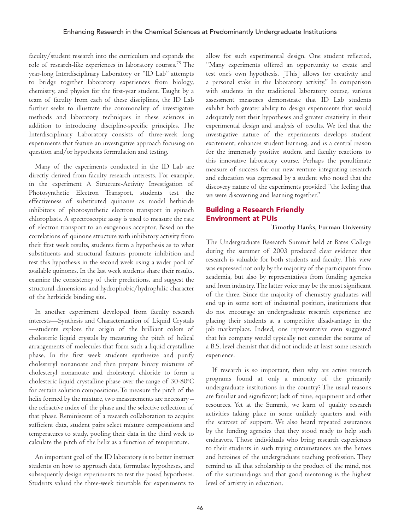faculty/student research into the curriculum and expands the role of research-like experiences in laboratory courses.<sup>75</sup> The year-long Interdisciplinary Laboratory or "ID Lab" attempts to bridge together laboratory experiences from biology, chemistry, and physics for the first-year student. Taught by a team of faculty from each of these disciplines, the ID Lab further seeks to illustrate the commonality of investigative methods and laboratory techniques in these sciences in addition to introducing discipline-specific principles. The Interdisciplinary Laboratory consists of three-week long experiments that feature an investigative approach focusing on question and/or hypothesis formulation and testing.

Many of the experiments conducted in the ID Lab are directly derived from faculty research interests. For example, in the experiment A Structure-Activity Investigation of Photosynthetic Electron Transport, students test the effectiveness of substituted quinones as model herbicide inhibitors of photosynthetic electron transport in spinach chloroplasts. A spectroscopic assay is used to measure the rate of electron transport to an exogenous acceptor. Based on the correlations of quinone structure with inhibitory activity from their first week results, students form a hypothesis as to what substituents and structural features promote inhibition and test this hypothesis in the second week using a wider pool of available quinones. In the last week students share their results, examine the consistency of their predictions, and suggest the structural dimensions and hydrophobic/hydrophilic character of the herbicide binding site.

In another experiment developed from faculty research interests—Synthesis and Characterization of Liquid Crystals —students explore the origin of the brilliant colors of cholesteric liquid crystals by measuring the pitch of helical arrangements of molecules that form such a liquid crystalline phase. In the first week students synthesize and purify cholesteryl nonanoate and then prepare binary mixtures of cholesteryl nonanoate and cholesteryl chloride to form a cholesteric liquid crystalline phase over the range of  $30$ - $80^{\circ}$ C for certain solution compositions. To measure the pitch of the helix formed by the mixture, two measurements are necessary – the refractive index of the phase and the selective reflection of that phase. Reminiscent of a research collaboration to acquire sufficient data, student pairs select mixture compositions and temperatures to study, pooling their data in the third week to calculate the pitch of the helix as a function of temperature.

An important goal of the ID laboratory is to better instruct students on how to approach data, formulate hypotheses, and subsequently design experiments to test the posed hypotheses. Students valued the three-week timetable for experiments to allow for such experimental design. One student reflected, "Many experiments offered an opportunity to create and test one's own hypothesis. [This] allows for creativity and a personal stake in the laboratory activity." In comparison with students in the traditional laboratory course, various assessment measures demonstrate that ID Lab students exhibit both greater ability to design experiments that would adequately test their hypotheses and greater creativity in their experimental design and analysis of results. We feel that the investigative nature of the experiments develops student excitement, enhances student learning, and is a central reason for the immensely positive student and faculty reactions to this innovative laboratory course. Perhaps the penultimate measure of success for our new venture integrating research and education was expressed by a student who noted that the discovery nature of the experiments provided "the feeling that we were discovering and learning together."

### Building a Research Friendly Environment at PUIs

### **Timothy Hanks, Furman University**

The Undergraduate Research Summit held at Bates College during the summer of 2003 produced clear evidence that research is valuable for both students and faculty. This view was expressed not only by the majority of the participants from academia, but also by representatives from funding agencies and from industry. The latter voice may be the most significant of the three. Since the majority of chemistry graduates will end up in some sort of industrial position, institutions that do not encourage an undergraduate research experience are placing their students at a competitive disadvantage in the job marketplace. Indeed, one representative even suggested that his company would typically not consider the resume of a B.S. level chemist that did not include at least some research experience.

If research is so important, then why are active research programs found at only a minority of the primarily undergraduate institutions in the country? The usual reasons are familiar and significant; lack of time, equipment and other resources. Yet at the Summit, we learn of quality research activities taking place in some unlikely quarters and with the scarcest of support. We also heard repeated assurances by the funding agencies that they stood ready to help such endeavors. Those individuals who bring research experiences to their students in such trying circumstances are the heroes and heroines of the undergraduate teaching profession. They remind us all that scholarship is the product of the mind, not of the surroundings and that good mentoring is the highest level of artistry in education.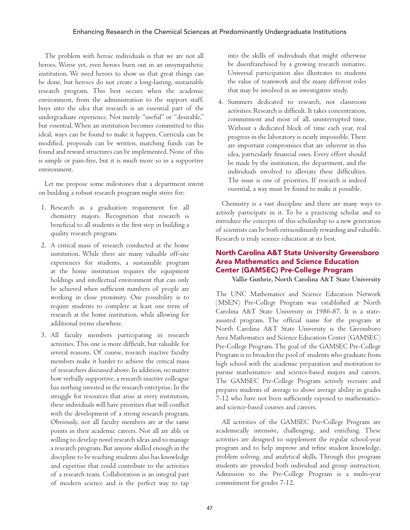The problem with heroic individuals is that we are not all heroes. Worse yet, even heroes burn out in an unsympathetic institution. We need heroes to show us that great things can be done, but heroics do not create a long-lasting, sustainable research program. This best occurs when the academic environment, from the administration to the support staff, buys into the idea that research is an essential part of the undergraduate experience. Not merely "useful" or "desirable," but essential. When an institution becomes committed to this ideal, ways can be found to make it happen. Curricula can be modified, proposals can be written, matching funds can be found and reward structures can be implemented. None of this is simple or pain-free, but it is much more so in a supportive environment.

Let me propose some milestones that a department intent on building a robust research program might strive for:

- 1. Research as a graduation requirement for all chemistry majors. Recognition that research is beneficial to all students is the first step in building a quality research program.
- 2. A critical mass of research conducted at the home institution. While there are many valuable off-site experiences for students, a sustainable program at the home institution requires the equipment holdings and intellectual environment that can only be achieved when sufficient numbers of people are working in close proximity. One possibility is to require students to complete at least one term of research at the home institution, while allowing for additional terms elsewhere.
- 3. All faculty members participating in research activities. This one is more difficult, but valuable for several reasons. Of course, research inactive faculty members make it harder to achieve the critical mass of researchers discussed above. In addition, no matter how verbally supportive, a research inactive colleague has nothing invested in the research enterprise. In the struggle for resources that arise at every institution, these individuals will have priorities that will conflict with the development of a strong research program. Obviously, not all faculty members are at the same points in their academic careers. Not all are able or willing to develop novel research ideas and to manage a research program. But anyone skilled enough in the discipline to be teaching students also has knowledge and expertise that could contribute to the activities of a research team. Collaboration is an integral part of modern science and is the perfect way to tap

into the skills of individuals that might otherwise be disenfranchised by a growing research initiative. Universal participation also illustrates to students the value of teamwork and the many different roles that may be involved in an investigative study.

4. Summers dedicated to research, not classroom activities. Research is difficult. It takes concentration, commitment and most of all, uninterrupted time. Without a dedicated block of time each year, real progress in the laboratory is nearly impossible. There are important compromises that are inherent in this idea, particularly financial ones. Every effort should be made by the institution, the department, and the individuals involved to alleviate these difficulties. The issue is one of priorities. If research is indeed essential, a way must be found to make it possible.

Chemistry is a vast discipline and there are many ways to actively participate in it. To be a practicing scholar and to introduce the concepts of this scholarship to a new generation of scientists can be both extraordinarily rewarding and valuable. Research is truly science education at its best.

### North Carolina A&T State University Greensboro Area Mathematics and Science Education Center (GAMSEC) Pre-College Program

**Vallie Guthrie, North Carolina A&T State University**

The UNC Mathematics and Science Education Network (MSEN) Pre-College Program was established at North Carolina A&T State University in 1986-87. It is a stateassisted program. The official name for the program at North Carolina A&T State University is the Greensboro Area Mathematics and Science Education Center (GAMSEC) Pre-College Program. The goal of the GAMSEC Pre-College Program is to broaden the pool of students who graduate from high school with the academic preparation and motivation to pursue mathematics- and science-based majors and careers. The GAMSEC Pre-College Program actively recruits and prepares students of average to above average ability in grades 7-12 who have not been sufficiently exposed to mathematicsand science-based courses and careers.

All activities of the GAMSEC Pre-College Program are academically intensive, challenging, and enriching. These activities are designed to supplement the regular school-year program and to help improve and refine student knowledge, problem solving, and analytical skills. Through this program students are provided both individual and group instruction. Admission to the Pre-College Program is a multi-year commitment for grades 7-12.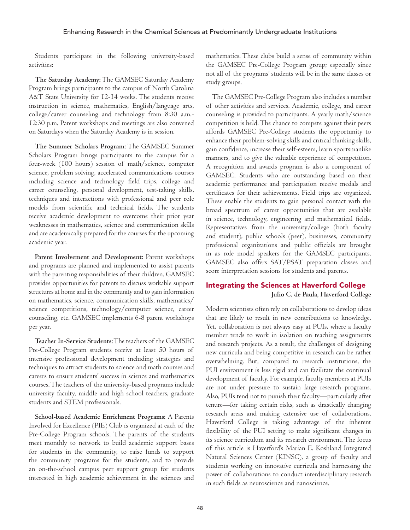Students participate in the following university-based activities:

**The Saturday Academy:** The GAMSEC Saturday Academy Program brings participants to the campus of North Carolina A&T State University for 12-14 weeks. The students receive instruction in science, mathematics, English/language arts, college/career counseling and technology from 8:30 a.m.- 12:30 p.m. Parent workshops and meetings are also convened on Saturdays when the Saturday Academy is in session.

**The Summer Scholars Program:** The GAMSEC Summer Scholars Program brings participants to the campus for a four-week (100 hours) session of math/science, computer science, problem solving, accelerated communications courses including science and technology field trips, college and career counseling, personal development, test-taking skills, techniques and interactions with professional and peer role models from scientific and technical fields. The students receive academic development to overcome their prior year weaknesses in mathematics, science and communication skills and are academically prepared for the courses for the upcoming academic year.

**Parent Involvement and Development:** Parent workshops and programs are planned and implemented to assist parents with the parenting responsibilities of their children. GAMSEC provides opportunities for parents to discuss workable support structures at home and in the community and to gain information on mathematics, science, communication skills, mathematics/ science competitions, technology/computer science, career counseling, etc. GAMSEC implements 6-8 parent workshops per year.

**Teacher In-Service Students:** The teachers of the GAMSEC Pre-College Program students receive at least 50 hours of intensive professional development including strategies and techniques to attract students to science and math courses and careers to ensure students' success in science and mathematics courses. The teachers of the university-based programs include university faculty, middle and high school teachers, graduate students and STEM professionals.

**School-based Academic Enrichment Programs:** A Parents Involved for Excellence (PIE) Club is organized at each of the Pre-College Program schools. The parents of the students meet monthly to network to build academic support bases for students in the community, to raise funds to support the community programs for the students, and to provide an on-the-school campus peer support group for students interested in high academic achievement in the sciences and mathematics. These clubs build a sense of community within the GAMSEC Pre-College Program group; especially since not all of the programs' students will be in the same classes or study groups.

The GAMSEC Pre-College Program also includes a number of other activities and services. Academic, college, and career counseling is provided to participants. A yearly math/science competition is held. The chance to compete against their peers affords GAMSEC Pre-College students the opportunity to enhance their problem-solving skills and critical thinking skills, gain confidence, increase their self-esteem, learn sportsmanlike manners, and to give the valuable experience of competition. A recognition and awards program is also a component of GAMSEC. Students who are outstanding based on their academic performance and participation receive medals and certificates for their achievements. Field trips are organized. These enable the students to gain personal contact with the broad spectrum of career opportunities that are available in science, technology, engineering and mathematical fields. Representatives from the university/college (both faculty and student), public schools (peer), businesses, community professional organizations and public officials are brought in as role model speakers for the GAMSEC participants. GAMSEC also offers SAT/PSAT preparation classes and score interpretation sessions for students and parents.

### Integrating the Sciences at Haverford College

**Julio C. de Paula, Haverford College**

Modern scientists often rely on collaborations to develop ideas that are likely to result in new contributions to knowledge. Yet, collaboration is not always easy at PUIs, where a faculty member tends to work in isolation on teaching assignments and research projects. As a result, the challenges of designing new curricula and being competitive in research can be rather overwhelming. But, compared to research institutions, the PUI environment is less rigid and can facilitate the continual development of faculty. For example, faculty members at PUIs are not under pressure to sustain large research programs. Also, PUIs tend not to punish their faculty—particularly after tenure—for taking certain risks, such as drastically changing research areas and making extensive use of collaborations. Haverford College is taking advantage of the inherent flexibility of the PUI setting to make significant changes in its science curriculum and its research environment. The focus of this article is Haverford's Marian E. Koshland Integrated Natural Sciences Center (KINSC), a group of faculty and students working on innovative curricula and harnessing the power of collaborations to conduct interdisciplinary research in such fields as neuroscience and nanoscience.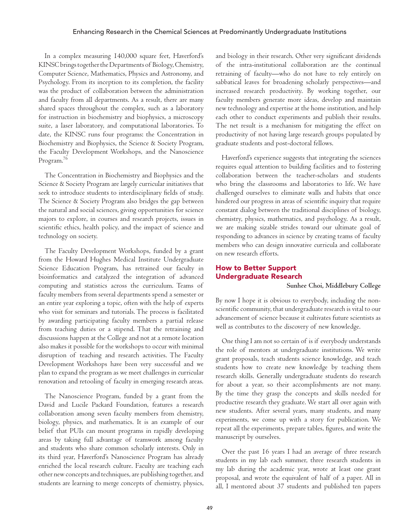In a complex measuring 140,000 square feet, Haverford's KINSC brings together the Departments of Biology, Chemistry, Computer Science, Mathematics, Physics and Astronomy, and Psychology. From its inception to its completion, the facility was the product of collaboration between the administration and faculty from all departments. As a result, there are many shared spaces throughout the complex, such as a laboratory for instruction in biochemistry and biophysics, a microscopy suite, a laser laboratory, and computational laboratories. To date, the KINSC runs four programs: the Concentration in Biochemistry and Biophysics, the Science & Society Program, the Faculty Development Workshops, and the Nanoscience Program.<sup>76</sup>

The Concentration in Biochemistry and Biophysics and the Science & Society Program are largely curricular initiatives that seek to introduce students to interdisciplinary fields of study. The Science & Society Program also bridges the gap between the natural and social sciences, giving opportunities for science majors to explore, in courses and research projects, issues in scientific ethics, health policy, and the impact of science and technology on society.

The Faculty Development Workshops, funded by a grant from the Howard Hughes Medical Institute Undergraduate Science Education Program, has retrained our faculty in bioinformatics and catalyzed the integration of advanced computing and statistics across the curriculum. Teams of faculty members from several departments spend a semester or an entire year exploring a topic, often with the help of experts who visit for seminars and tutorials. The process is facilitated by awarding participating faculty members a partial release from teaching duties or a stipend. That the retraining and discussions happen at the College and not at a remote location also makes it possible for the workshops to occur with minimal disruption of teaching and research activities. The Faculty Development Workshops have been very successful and we plan to expand the program as we meet challenges in curricular renovation and retooling of faculty in emerging research areas.

The Nanoscience Program, funded by a grant from the David and Lucile Packard Foundation, features a research collaboration among seven faculty members from chemistry, biology, physics, and mathematics. It is an example of our belief that PUIs can mount programs in rapidly developing areas by taking full advantage of teamwork among faculty and students who share common scholarly interests. Only in its third year, Haverford's Nanoscience Program has already enriched the local research culture. Faculty are teaching each other new concepts and techniques, are publishing together, and students are learning to merge concepts of chemistry, physics, and biology in their research. Other very significant dividends of the intra-institutional collaboration are the continual retraining of faculty—who do not have to rely entirely on sabbatical leaves for broadening scholarly perspectives—and increased research productivity. By working together, our faculty members generate more ideas, develop and maintain new technology and expertise at the home institution, and help each other to conduct experiments and publish their results. The net result is a mechanism for mitigating the effect on productivity of not having large research groups populated by graduate students and post-doctoral fellows.

Haverford's experience suggests that integrating the sciences requires equal attention to building facilities and to fostering collaboration between the teacher-scholars and students who bring the classrooms and laboratories to life. We have challenged ourselves to eliminate walls and habits that once hindered our progress in areas of scientific inquiry that require constant dialog between the traditional disciplines of biology, chemistry, physics, mathematics, and psychology. As a result, we are making sizable strides toward our ultimate goal of responding to advances in science by creating teams of faculty members who can design innovative curricula and collaborate on new research efforts.

### How to Better Support Undergraduate Research

**Sunhee Choi, Middlebury College**

By now I hope it is obvious to everybody, including the nonscientific community, that undergraduate research is vital to our advancement of science because it cultivates future scientists as well as contributes to the discovery of new knowledge.

One thing I am not so certain of is if everybody understands the role of mentors at undergraduate institutions. We write grant proposals, teach students science knowledge, and teach students how to create new knowledge by teaching them research skills. Generally undergraduate students do research for about a year, so their accomplishments are not many. By the time they grasp the concepts and skills needed for productive research they graduate. We start all over again with new students. After several years, many students, and many experiments, we come up with a story for publication. We repeat all the experiments, prepare tables, figures, and write the manuscript by ourselves.

Over the past 16 years I had an average of three research students in my lab each summer, three research students in my lab during the academic year, wrote at least one grant proposal, and wrote the equivalent of half of a paper. All in all, I mentored about 37 students and published ten papers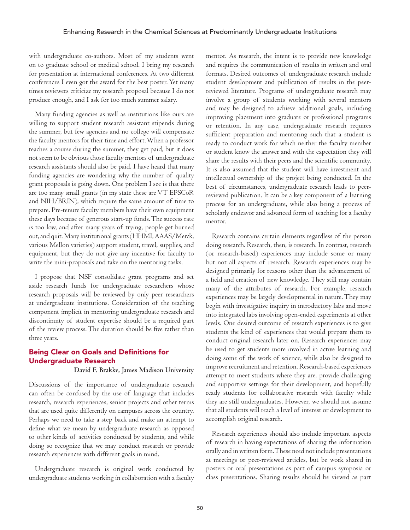with undergraduate co-authors. Most of my students went on to graduate school or medical school. I bring my research for presentation at international conferences. At two different conferences I even got the award for the best poster. Yet many times reviewers criticize my research proposal because I do not produce enough, and I ask for too much summer salary.

Many funding agencies as well as institutions like ours are willing to support student research assistant stipends during the summer, but few agencies and no college will compensate the faculty mentors for their time and effort. When a professor teaches a course during the summer, they get paid, but it does not seem to be obvious those faculty mentors of undergraduate research assistants should also be paid. I have heard that many funding agencies are wondering why the number of quality grant proposals is going down. One problem I see is that there are too many small grants (in my state these are VT EPSCoR and NIH/BRIN), which require the same amount of time to prepare. Pre-tenure faculty members have their own equipment these days because of generous start-up funds. The success rate is too low, and after many years of trying, people get burned out, and quit. Many institutional grants (HHMI, AAAS/Merck, various Mellon varieties) support student, travel, supplies, and equipment, but they do not give any incentive for faculty to write the mini-proposals and take on the mentoring tasks.

I propose that NSF consolidate grant programs and set aside research funds for undergraduate researchers whose research proposals will be reviewed by only peer researchers at undergraduate institutions. Consideration of the teaching component implicit in mentoring undergraduate research and discontinuity of student expertise should be a required part of the review process. The duration should be five rather than three years.

### Being Clear on Goals and Definitions for Undergraduate Research

**David F. Brakke, James Madison University**

Discussions of the importance of undergraduate research can often be confused by the use of language that includes research, research experiences, senior projects and other terms that are used quite differently on campuses across the country. Perhaps we need to take a step back and make an attempt to define what we mean by undergraduate research as opposed to other kinds of activities conducted by students, and while doing so recognize that we may conduct research or provide research experiences with different goals in mind.

Undergraduate research is original work conducted by undergraduate students working in collaboration with a faculty mentor. As research, the intent is to provide new knowledge and requires the communication of results in written and oral formats. Desired outcomes of undergraduate research include student development and publication of results in the peerreviewed literature. Programs of undergraduate research may involve a group of students working with several mentors and may be designed to achieve additional goals, including improving placement into graduate or professional programs or retention. In any case, undergraduate research requires sufficient preparation and mentoring such that a student is ready to conduct work for which neither the faculty member or student know the answer and with the expectation they will share the results with their peers and the scientific community. It is also assumed that the student will have investment and intellectual ownership of the project being conducted. In the best of circumstances, undergraduate research leads to peerreviewed publication. It can be a key component of a learning process for an undergraduate, while also being a process of scholarly endeavor and advanced form of teaching for a faculty mentor.

Research contains certain elements regardless of the person doing research. Research, then, is research. In contrast, research (or research-based) experiences may include some or many but not all aspects of research. Research experiences may be designed primarily for reasons other than the advancement of a field and creation of new knowledge. They still may contain many of the attributes of research. For example, research experiences may be largely developmental in nature. They may begin with investigative inquiry in introductory labs and move into integrated labs involving open-ended experiments at other levels. One desired outcome of research experiences is to give students the kind of experiences that would prepare them to conduct original research later on. Research experiences may be used to get students more involved in active learning and doing some of the work of science, while also be designed to improve recruitment and retention. Research-based experiences attempt to meet students where they are, provide challenging and supportive settings for their development, and hopefully ready students for collaborative research with faculty while they are still undergraduates. However, we should not assume that all students will reach a level of interest or development to accomplish original research.

Research experiences should also include important aspects of research in having expectations of sharing the information orally and in written form. These need not include presentations at meetings or peer-reviewed articles, but be work shared in posters or oral presentations as part of campus symposia or class presentations. Sharing results should be viewed as part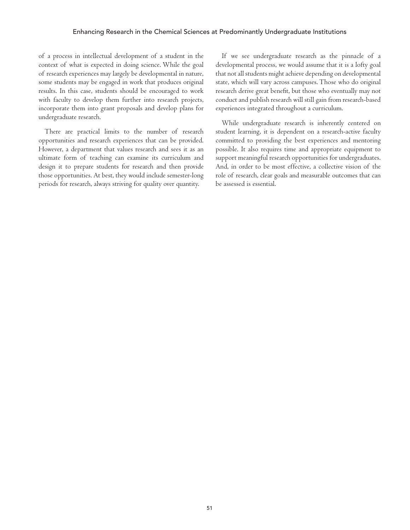of a process in intellectual development of a student in the context of what is expected in doing science. While the goal of research experiences may largely be developmental in nature, some students may be engaged in work that produces original results. In this case, students should be encouraged to work with faculty to develop them further into research projects, incorporate them into grant proposals and develop plans for undergraduate research.

There are practical limits to the number of research opportunities and research experiences that can be provided. However, a department that values research and sees it as an ultimate form of teaching can examine its curriculum and design it to prepare students for research and then provide those opportunities. At best, they would include semester-long periods for research, always striving for quality over quantity.

If we see undergraduate research as the pinnacle of a developmental process, we would assume that it is a lofty goal that not all students might achieve depending on developmental state, which will vary across campuses. Those who do original research derive great benefit, but those who eventually may not conduct and publish research will still gain from research-based experiences integrated throughout a curriculum.

While undergraduate research is inherently centered on student learning, it is dependent on a research-active faculty committed to providing the best experiences and mentoring possible. It also requires time and appropriate equipment to support meaningful research opportunities for undergraduates. And, in order to be most effective, a collective vision of the role of research, clear goals and measurable outcomes that can be assessed is essential.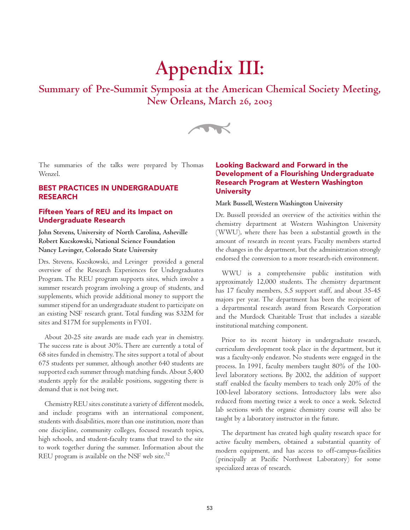# **Appendix III:**

**Summary of Pre-Summit Symposia at the American Chemical Society Meeting, New Orleans, March 26, 2003**



The summaries of the talks were prepared by Thomas Wenzel.

### BEST PRACTICES IN UNDERGRADUATE RESEARCH

### Fifteen Years of REU and its Impact on Undergraduate Research

**John Stevens, University of North Carolina, Asheville Robert Kucskowski, National Science Foundation Nancy Levinger, Colorado State University**

Drs. Stevens, Kucskowski, and Levinger provided a general overview of the Research Experiences for Undergraduates Program. The REU program supports sites, which involve a summer research program involving a group of students, and supplements, which provide additional money to support the summer stipend for an undergraduate student to participate on an existing NSF research grant. Total funding was \$32M for sites and \$17M for supplements in FY01.

About 20-25 site awards are made each year in chemistry. The success rate is about 30%. There are currently a total of 68 sites funded in chemistry. The sites support a total of about 675 students per summer, although another 640 students are supported each summer through matching funds. About 5,400 students apply for the available positions, suggesting there is demand that is not being met.

Chemistry REU sites constitute a variety of different models, and include programs with an international component, students with disabilities, more than one institution, more than one discipline, community colleges, focused research topics, high schools, and student-faculty teams that travel to the site to work together during the summer. Information about the REU program is available on the NSF web site. $32$ 

### Looking Backward and Forward in the Development of a Flourishing Undergraduate Research Program at Western Washington **University**

### **Mark Bussell, Western Washington University**

Dr. Bussell provided an overview of the activities within the chemistry department at Western Washington University (WWU), where there has been a substantial growth in the amount of research in recent years. Faculty members started the changes in the department, but the administration strongly endorsed the conversion to a more research-rich environment.

WWU is a comprehensive public institution with approximately 12,000 students. The chemistry department has 17 faculty members, 5.5 support staff, and about 35-45 majors per year. The department has been the recipient of a departmental research award from Research Corporation and the Murdock Charitable Trust that includes a sizeable institutional matching component.

Prior to its recent history in undergraduate research, curriculum development took place in the department, but it was a faculty-only endeavor. No students were engaged in the process. In 1991, faculty members taught 80% of the 100 level laboratory sections. By 2002, the addition of support staff enabled the faculty members to teach only 20% of the 100-level laboratory sections. Introductory labs were also reduced from meeting twice a week to once a week. Selected lab sections with the organic chemistry course will also be taught by a laboratory instructor in the future.

The department has created high quality research space for active faculty members, obtained a substantial quantity of modern equipment, and has access to off-campus-facilities (principally at Pacific Northwest Laboratory) for some specialized areas of research.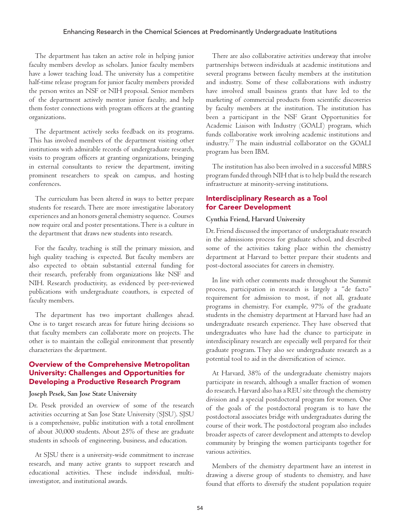The department has taken an active role in helping junior faculty members develop as scholars. Junior faculty members have a lower teaching load. The university has a competitive half-time release program for junior faculty members provided the person writes an NSF or NIH proposal. Senior members of the department actively mentor junior faculty, and help them foster connections with program officers at the granting organizations.

The department actively seeks feedback on its programs. This has involved members of the department visiting other institutions with admirable records of undergraduate research, visits to program officers at granting organizations, bringing in external consultants to review the department, inviting prominent researchers to speak on campus, and hosting conferences.

The curriculum has been altered in ways to better prepare students for research. There are more investigative laboratory experiences and an honors general chemistry sequence. Courses now require oral and poster presentations. There is a culture in the department that draws new students into research.

For the faculty, teaching is still the primary mission, and high quality teaching is expected. But faculty members are also expected to obtain substantial external funding for their research, preferably from organizations like NSF and NIH. Research productivity, as evidenced by peer-reviewed publications with undergraduate coauthors, is expected of faculty members.

The department has two important challenges ahead. One is to target research areas for future hiring decisions so that faculty members can collaborate more on projects. The other is to maintain the collegial environment that presently characterizes the department.

### Overview of the Comprehensive Metropolitan University: Challenges and Opportunities for Developing a Productive Research Program

### **Joseph Pesek, San Jose State University**

Dr. Pesek provided an overview of some of the research activities occurring at San Jose State University (SJSU). SJSU is a comprehensive, public institution with a total enrollment of about 30,000 students. About 25% of these are graduate students in schools of engineering, business, and education.

At SJSU there is a university-wide commitment to increase research, and many active grants to support research and educational activities. These include individual, multiinvestigator, and institutional awards.

There are also collaborative activities underway that involve partnerships between individuals at academic institutions and several programs between faculty members at the institution and industry. Some of these collaborations with industry have involved small business grants that have led to the marketing of commercial products from scientific discoveries by faculty members at the institution. The institution has been a participant in the NSF Grant Opportunities for Academic Liaison with Industry (GOALI) program, which funds collaborative work involving academic institutions and industry.77 The main industrial collaborator on the GOALI program has been IBM.

The institution has also been involved in a successful MBRS program funded through NIH that is to help build the research infrastructure at minority-serving institutions.

### Interdisciplinary Research as a Tool for Career Development

#### **Cynthia Friend, Harvard University**

Dr. Friend discussed the importance of undergraduate research in the admissions process for graduate school, and described some of the activities taking place within the chemistry department at Harvard to better prepare their students and post-doctoral associates for careers in chemistry.

In line with other comments made throughout the Summit process, participation in research is largely a "de facto" requirement for admission to most, if not all, graduate programs in chemistry. For example, 97% of the graduate students in the chemistry department at Harvard have had an undergraduate research experience. They have observed that undergraduates who have had the chance to participate in interdisciplinary research are especially well prepared for their graduate program. They also see undergraduate research as a potential tool to aid in the diversification of science.

At Harvard, 38% of the undergraduate chemistry majors participate in research, although a smaller fraction of women do research. Harvard also has a REU site through the chemistry division and a special postdoctoral program for women. One of the goals of the postdoctoral program is to have the postdoctoral associates bridge with undergraduates during the course of their work. The postdoctoral program also includes broader aspects of career development and attempts to develop community by bringing the women participants together for various activities.

Members of the chemistry department have an interest in drawing a diverse group of students to chemistry, and have found that efforts to diversify the student population require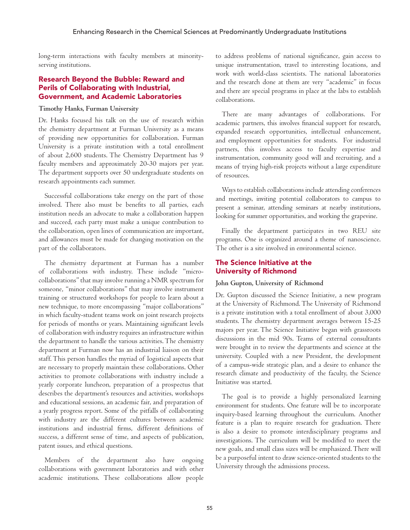long-term interactions with faculty members at minorityserving institutions.

### Research Beyond the Bubble: Reward and Perils of Collaborating with Industrial, Government, and Academic Laboratories

### **Timothy Hanks, Furman University**

Dr. Hanks focused his talk on the use of research within the chemistry department at Furman University as a means of providing new opportunities for collaboration. Furman University is a private institution with a total enrollment of about 2,600 students. The Chemistry Department has 9 faculty members and approximately 20-30 majors per year. The department supports over 50 undergraduate students on research appointments each summer.

Successful collaborations take energy on the part of those involved. There also must be benefits to all parties, each institution needs an advocate to make a collaboration happen and succeed, each party must make a unique contribution to the collaboration, open lines of communication are important, and allowances must be made for changing motivation on the part of the collaborators.

The chemistry department at Furman has a number of collaborations with industry. These include "microcollaborations" that may involve running a NMR spectrum for someone, "minor collaborations" that may involve instrument training or structured workshops for people to learn about a new technique, to more encompassing "major collaborations" in which faculty-student teams work on joint research projects for periods of months or years. Maintaining significant levels of collaboration with industry requires an infrastructure within the department to handle the various activities. The chemistry department at Furman now has an industrial liaison on their staff. This person handles the myriad of logistical aspects that are necessary to properly maintain these collaborations. Other activities to promote collaborations with industry include a yearly corporate luncheon, preparation of a prospectus that describes the department's resources and activities, workshops and educational sessions, an academic fair, and preparation of a yearly progress report. Some of the pitfalls of collaborating with industry are the different cultures between academic institutions and industrial firms, different definitions of success, a different sense of time, and aspects of publication, patent issues, and ethical questions.

Members of the department also have ongoing collaborations with government laboratories and with other academic institutions. These collaborations allow people

to address problems of national significance, gain access to unique instrumentation, travel to interesting locations, and work with world-class scientists. The national laboratories and the research done at them are very "academic" in focus and there are special programs in place at the labs to establish collaborations.

There are many advantages of collaborations. For academic partners, this involves financial support for research, expanded research opportunities, intellectual enhancement, and employment opportunities for students. For industrial partners, this involves access to faculty expertise and instrumentation, community good will and recruiting, and a means of trying high-risk projects without a large expenditure of resources.

Ways to establish collaborations include attending conferences and meetings, inviting potential collaborators to campus to present a seminar, attending seminars at nearby institutions, looking for summer opportunities, and working the grapevine.

Finally the department participates in two REU site programs. One is organized around a theme of nanoscience. The other is a site involved in environmental science.

### The Science Initiative at the University of Richmond

### **John Gupton, University of Richmond**

Dr. Gupton discussed the Science Initiative, a new program at the University of Richmond. The University of Richmond is a private institution with a total enrollment of about 3,000 students. The chemistry department averages between 15-25 majors per year. The Science Initiative began with grassroots discussions in the mid 90s. Teams of external consultants were brought in to review the departments and science at the university. Coupled with a new President, the development of a campus-wide strategic plan, and a desire to enhance the research climate and productivity of the faculty, the Science Initiative was started.

The goal is to provide a highly personalized learning environment for students. One feature will be to incorporate inquiry-based learning throughout the curriculum. Another feature is a plan to require research for graduation. There is also a desire to promote interdisciplinary programs and investigations. The curriculum will be modified to meet the new goals, and small class sizes will be emphasized. There will be a purposeful intent to draw science-oriented students to the University through the admissions process.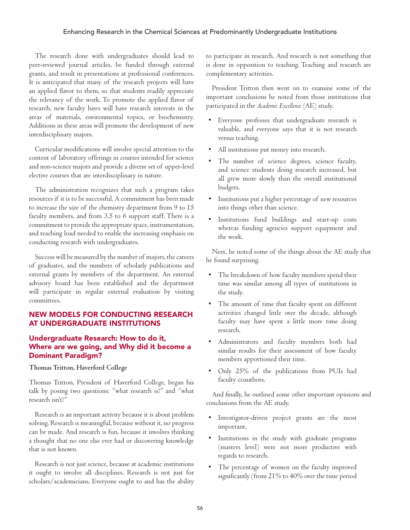The research done with undergraduates should lead to peer-reviewed journal articles, be funded through external grants, and result in presentations at professional conferences. It is anticipated that many of the research projects will have an applied flavor to them, so that students readily appreciate the relevancy of the work. To promote the applied flavor of research, new faculty hires will have research interests in the areas of materials, environmental topics, or biochemistry. Additions in these areas will promote the development of new interdisciplinary majors.

Curricular modifications will involve special attention to the content of laboratory offerings in courses intended for science and non-science majors and provide a diverse set of upper-level elective courses that are interdisciplinary in nature.

The administration recognizes that such a program takes resources if it is to be successful. A commitment has been made to increase the size of the chemistry department from 9 to 15 faculty members, and from 3.5 to 6 support staff. There is a commitment to provide the appropriate space, instrumentation, and teaching load needed to enable the increasing emphasis on conducting research with undergraduates.

Success will be measured by the number of majors, the careers of graduates, and the numbers of scholarly publications and external grants by members of the department. An external advisory board has been established and the department will participate in regular external evaluation by visiting committees.

### NEW MODELS FOR CONDUCTING RESEARCH AT UNDERGRADUATE INSTITUTIONS

### Undergraduate Research: How to do it, Where are we going, and Why did it become a Dominant Paradigm?

### **Thomas Tritton, Haverford College**

Thomas Tritton, President of Haverford College, began his talk by posing two questions: "what research is?" and "what research isn't?"

Research is an important activity because it is about problem solving. Research is meaningful, because without it, no progress can be made. And research is fun, because it involves thinking a thought that no one else ever had or discovering knowledge that is not known.

Research is not just science, because at academic institutions it ought to involve all disciplines. Research is not just for scholars/academicians. Everyone ought to and has the ability to participate in research. And research is not something that is done in opposition to teaching. Teaching and research are complementary activities.

President Tritton then went on to examine some of the important conclusions he noted from those institutions that participated in the *Academic Excellence* (AE) study.

- Everyone professes that undergraduate research is valuable, and everyone says that it is not research versus teaching.
- All institutions put money into research.
- The number of science degrees, science faculty, and science students doing research increased, but all grew more slowly than the overall institutional budgets.
- Institutions put a higher percentage of new resources into things other than science.
- Institutions fund buildings and start-up costs whereas funding agencies support equipment and the work.

Next, he noted some of the things about the AE study that he found surprising.

- The breakdown of how faculty members spend their time was similar among all types of institutions in the study.
- The amount of time that faculty spent on different activities changed little over the decade, although faculty may have spent a little more time doing research.
- Administrators and faculty members both had similar results for their assessment of how faculty members apportioned their time.
- Only 25% of the publications from PUIs had faculty coauthors.

And finally, he outlined some other important opinions and conclusions from the AE study.

- Investigator-driven project grants are the most important.
- Institutions in the study with graduate programs (masters level) were not more productive with regards to research.
- The percentage of women on the faculty improved significantly (from 21% to 40% over the time period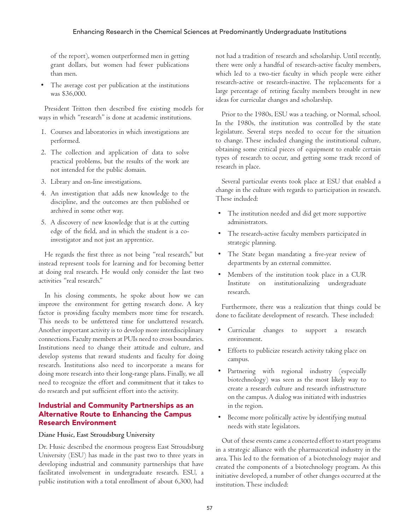of the report), women outperformed men in getting grant dollars, but women had fewer publications than men.

The average cost per publication at the institutions was \$36,000.

President Tritton then described five existing models for ways in which "research" is done at academic institutions.

- 1. Courses and laboratories in which investigations are performed.
- 2. The collection and application of data to solve practical problems, but the results of the work are not intended for the public domain.
- 3. Library and on-line investigations.
- 4. An investigation that adds new knowledge to the discipline, and the outcomes are then published or archived in some other way.
- 5. A discovery of new knowledge that is at the cutting edge of the field, and in which the student is a coinvestigator and not just an apprentice.

He regards the first three as not being "real research," but instead represent tools for learning and for becoming better at doing real research. He would only consider the last two activities "real research."

In his closing comments, he spoke about how we can improve the environment for getting research done. A key factor is providing faculty members more time for research. This needs to be unfettered time for uncluttered research. Another important activity is to develop more interdisciplinary connections. Faculty members at PUIs need to cross boundaries. Institutions need to change their attitude and culture, and develop systems that reward students and faculty for doing research. Institutions also need to incorporate a means for doing more research into their long-range plans. Finally, we all need to recognize the effort and commitment that it takes to do research and put sufficient effort into the activity.

### Industrial and Community Partnerships as an Alternative Route to Enhancing the Campus Research Environment

### **Diane Husic, East Stroudsburg University**

Dr. Husic described the enormous progress East Stroudsburg University (ESU) has made in the past two to three years in developing industrial and community partnerships that have facilitated involvement in undergraduate research. ESU, a public institution with a total enrollment of about 6,300, had not had a tradition of research and scholarship. Until recently, there were only a handful of research-active faculty members, which led to a two-tier faculty in which people were either research-active or research-inactive. The replacements for a large percentage of retiring faculty members brought in new ideas for curricular changes and scholarship.

Prior to the 1980s, ESU was a teaching, or Normal, school. In the 1980s, the institution was controlled by the state legislature. Several steps needed to occur for the situation to change. These included changing the institutional culture, obtaining some critical pieces of equipment to enable certain types of research to occur, and getting some track record of research in place.

Several particular events took place at ESU that enabled a change in the culture with regards to participation in research. These included:

- The institution needed and did get more supportive administrators.
- The research-active faculty members participated in strategic planning.
- The State began mandating a five-year review of departments by an external committee.
- Members of the institution took place in a CUR Institute on institutionalizing undergraduate research.

Furthermore, there was a realization that things could be done to facilitate development of research. These included:

- Curricular changes to support a research environment.
- Efforts to publicize research activity taking place on campus.
- Partnering with regional industry (especially biotechnology) was seen as the most likely way to create a research culture and research infrastructure on the campus. A dialog was initiated with industries in the region.
- Become more politically active by identifying mutual needs with state legislators.

Out of these events came a concerted effort to start programs in a strategic alliance with the pharmaceutical industry in the area. This led to the formation of a biotechnology major and created the components of a biotechnology program. As this initiative developed, a number of other changes occurred at the institution. These included: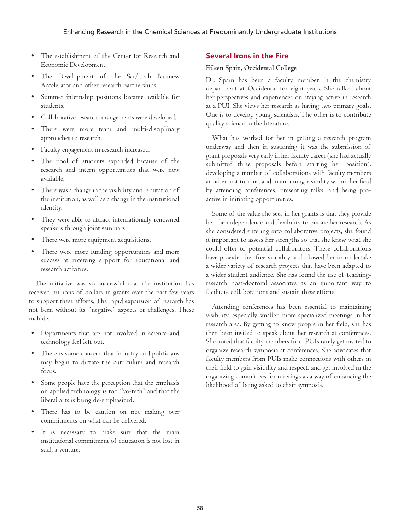- The establishment of the Center for Research and Economic Development.
- The Development of the Sci/Tech Business Accelerator and other research partnerships.
- Summer internship positions became available for students.
- Collaborative research arrangements were developed.
- There were more team and multi-disciplinary approaches to research.
- Faculty engagement in research increased.
- The pool of students expanded because of the research and intern opportunities that were now available.
- There was a change in the visibility and reputation of the institution, as well as a change in the institutional identity.
- They were able to attract internationally renowned speakers through joint seminars
- There were more equipment acquisitions.
- There were more funding opportunities and more success at receiving support for educational and research activities.

The initiative was so successful that the institution has received millions of dollars in grants over the past few years to support these efforts. The rapid expansion of research has not been without its "negative" aspects or challenges. These include:

- Departments that are not involved in science and technology feel left out.
- There is some concern that industry and politicians may begin to dictate the curriculum and research focus.
- Some people have the perception that the emphasis on applied technology is too "vo-tech" and that the liberal arts is being de-emphasized.
- There has to be caution on not making over commitments on what can be delivered.
- It is necessary to make sure that the main institutional commitment of education is not lost in such a venture.

### Several Irons in the Fire

### **Eileen Spain, Occidental College**

Dr. Spain has been a faculty member in the chemistry department at Occidental for eight years. She talked about her perspectives and experiences on staying active in research at a PUI. She views her research as having two primary goals. One is to develop young scientists. The other is to contribute quality science to the literature.

What has worked for her in getting a research program underway and then in sustaining it was the submission of grant proposals very early in her faculty career (she had actually submitted three proposals before starting her position), developing a number of collaborations with faculty members at other institutions, and maintaining visibility within her field by attending conferences, presenting talks, and being proactive in initiating opportunities.

Some of the value she sees in her grants is that they provide her the independence and flexibility to pursue her research. As she considered entering into collaborative projects, she found it important to assess her strengths so that she knew what she could offer to potential collaborators. These collaborations have provided her free visibility and allowed her to undertake a wider variety of research projects that have been adapted to a wider student audience. She has found the use of teachingresearch post-doctoral associates as an important way to facilitate collaborations and sustain these efforts.

Attending conferences has been essential to maintaining visibility, especially smaller, more specialized meetings in her research area. By getting to know people in her field, she has then been invited to speak about her research at conferences. She noted that faculty members from PUIs rarely get invited to organize research symposia at conferences. She advocates that faculty members from PUIs make connections with others in their field to gain visibility and respect, and get involved in the organizing committees for meetings as a way of enhancing the likelihood of being asked to chair symposia.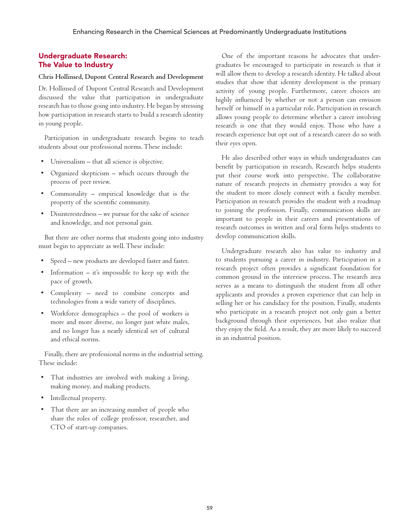### Undergraduate Research: The Value to Industry

### **Chris Hollinsed, Dupont Central Research and Development**

Dr. Hollinsed of Dupont Central Research and Development discussed the value that participation in undergraduate research has to those going into industry. He began by stressing how participation in research starts to build a research identity in young people.

Participation in undergraduate research begins to teach students about our professional norms. These include:

- Universalism that all science is objective.
- Organized skepticism which occurs through the process of peer review.
- Commonality empirical knowledge that is the property of the scientific community.
- Disinterestedness we pursue for the sake of science and knowledge, and not personal gain.

But there are other norms that students going into industry must begin to appreciate as well. These include:

- Speed new products are developed faster and faster.
- Information  $-$  it's impossible to keep up with the pace of growth.
- Complexity need to combine concepts and technologies from a wide variety of disciplines.
- Workforce demographics the pool of workers is more and more diverse, no longer just white males, and no longer has a nearly identical set of cultural and ethical norms.

Finally, there are professional norms in the industrial setting. These include:

- That industries are involved with making a living, making money, and making products.
- Intellectual property.
- That there are an increasing number of people who share the roles of college professor, researcher, and CTO of start-up companies.

One of the important reasons he advocates that undergraduates be encouraged to participate in research is that it will allow them to develop a research identity. He talked about studies that show that identity development is the primary activity of young people. Furthermore, career choices are highly influenced by whether or not a person can envision herself or himself in a particular role. Participation in research allows young people to determine whether a career involving research is one that they would enjoy. Those who have a research experience but opt out of a research career do so with their eyes open.

He also described other ways in which undergraduates can benefit by participation in research. Research helps students put their course work into perspective. The collaborative nature of research projects in chemistry provides a way for the student to more closely connect with a faculty member. Participation in research provides the student with a roadmap to joining the profession. Finally, communication skills are important to people in their careers and presentations of research outcomes in written and oral form helps students to develop communication skills.

Undergraduate research also has value to industry and to students pursuing a career in industry. Participation in a research project often provides a significant foundation for common ground in the interview process. The research area serves as a means to distinguish the student from all other applicants and provides a proven experience that can help in selling her or his candidacy for the position. Finally, students who participate in a research project not only gain a better background through their experiences, but also realize that they enjoy the field. As a result, they are more likely to succeed in an industrial position.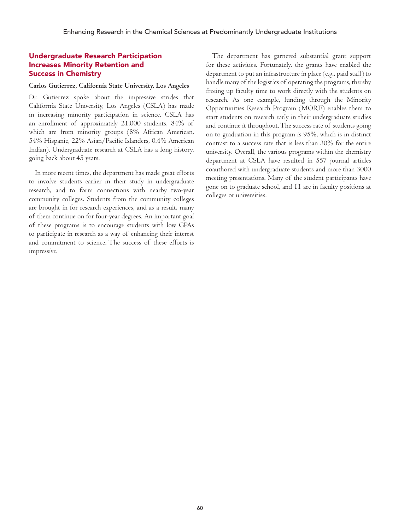### Undergraduate Research Participation Increases Minority Retention and Success in Chemistry

### **Carlos Gutierrez, California State University, Los Angeles**

Dr. Gutierrez spoke about the impressive strides that California State University, Los Angeles (CSLA) has made in increasing minority participation in science. CSLA has an enrollment of approximately 21,000 students, 84% of which are from minority groups (8% African American, 54% Hispanic, 22% Asian/Pacific Islanders, 0.4% American Indian). Undergraduate research at CSLA has a long history, going back about 45 years.

In more recent times, the department has made great efforts to involve students earlier in their study in undergraduate research, and to form connections with nearby two-year community colleges. Students from the community colleges are brought in for research experiences, and as a result, many of them continue on for four-year degrees. An important goal of these programs is to encourage students with low GPAs to participate in research as a way of enhancing their interest and commitment to science. The success of these efforts is impressive.

The department has garnered substantial grant support for these activities. Fortunately, the grants have enabled the department to put an infrastructure in place (e.g., paid staff) to handle many of the logistics of operating the programs, thereby freeing up faculty time to work directly with the students on research. As one example, funding through the Minority Opportunities Research Program (MORE) enables them to start students on research early in their undergraduate studies and continue it throughout. The success rate of students going on to graduation in this program is 95%, which is in distinct contrast to a success rate that is less than 30% for the entire university. Overall, the various programs within the chemistry department at CSLA have resulted in 557 journal articles coauthored with undergraduate students and more than 3000 meeting presentations. Many of the student participants have gone on to graduate school, and 11 are in faculty positions at colleges or universities.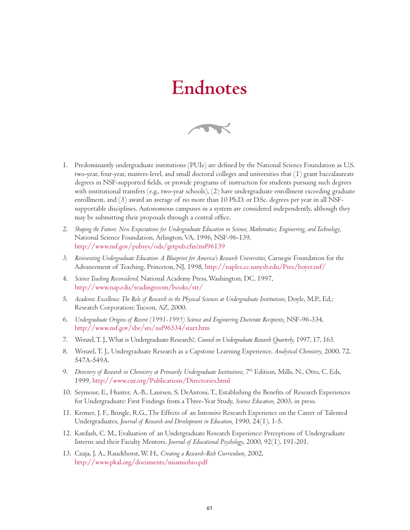# **Endnotes**



- 1. Predominantly undergraduate institutions (PUIs) are defined by the National Science Foundation as U.S. two-year, four-year, masters-level, and small doctoral colleges and universities that (1) grant baccalaureate degrees in NSF-supported fields, or provide programs of instruction for students pursuing such degrees with institutional transfers (e.g., two-year schools), (2) have undergraduate enrollment exceeding graduate enrollment, and (3) award an average of no more than 10 Ph.D. or D.Sc. degrees per year in all NSFsupportable disciplines. Autonomous campuses in a system are considered independently, although they may be submitting their proposals through a central office.
- 2. *Shaping the Future: New Expectations for Undergraduate Education in Science, Mathematics, Engineering, and Technology,* National Science Foundation, Arlington, VA, 1996, NSF-96-139, http://www.nsf.gov/pubsys/ods/getpub.cfm?nsf96139
- 3. *Reinventing Undergraduate Education: A Blueprint for America's Research Universities,* Carnegie Foundation for the Advancement of Teaching, Princeton, NJ, 1998, http://naples.cc.sunysb.edu/Pres/boyer.nsf/
- 4. *Science Teaching Reconsidered,* National Academy Press, Washington, DC, 1997, http://www.nap.edu/readingroom/books/str/
- 5. *Academic Excellence: The Role of Research in the Physical Sciences at Undergraduate Institutions;* Doyle, M.P., Ed.; Research Corporation: Tucson, AZ, 2000.
- 6. *Undergraduate Origins of Recent (1991-1995) Science and Engineering Doctorate Recipients,* NSF-96-334, http://www.nsf.gov/sbe/srs/nsf96334/start.htm
- 7. Wenzel, T. J., What is Undergraduate Research?, *Council on Undergraduate Research Quarterly,* 1997, 17, 163.
- 8. Wenzel, T. J., Undergraduate Research as a Capstone Learning Experience, *Analytical Chemistry,* 2000, 72, 547A-549A.
- 9. *Directory of Research in Chemistry at Primarily Undergraduate Institutions*, 7<sup>th</sup> Edition, Mills, N., Otto, C. Eds, 1999, http://www.cur.org/Publications/Directories.html
- 10. Seymour, E., Hunter, A.-B., Laursen, S, DeAntoni, T., Establishing the Benefits of Research Experiences for Undergraduate: First Findings from a Three-Year Study, *Science Education,* 2003, in press.
- 11. Kremer, J. F., Bringle, R.G., The Effects of an Intensive Research Experience on the Career of Talented Undergraduates, *Journal of Research and Development in Education,* 1990, 24(1), 1-5.
- 12. Kardash, C. M., Evaluation of an Undergraduate Research Experience: Perceptions of Undergraduate Interns and their Faculty Mentors, *Journal of Educational Psychology*, 2000, 92(1), 191-201.
- 13. Czaja, J. A., Rauckhorst, W. H., *Creating a Research-Rich Curriculum,* 2002, http://www.pkal.org/documents/miamiohio.pdf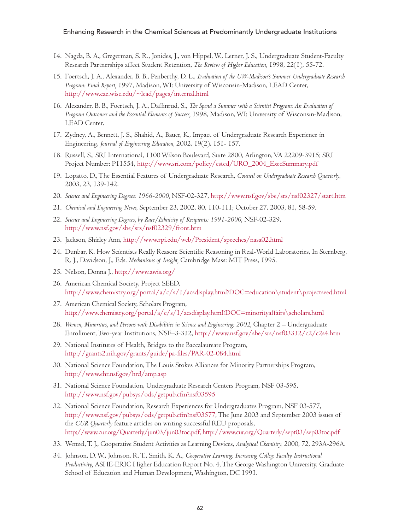- 14. Nagda, B. A., Gregerman, S. R., Jonides, J., von Hippel, W., Lerner, J. S., Undergraduate Student-Faculty Research Partnerships affect Student Retention, *The Review of Higher Education,* 1998, 22(1), 55-72.
- 15. Foertsch, J. A., Alexander, B. B., Penberthy, D. L., *Evaluation of the UW-Madison's Summer Undergraduate Research Program: Final Report,* 1997, Madison, WI: University of Wisconsin-Madison, LEAD Center, http://www.cae.wisc.edu/~lead/pages/internal.html
- 16. Alexander, B. B., Foertsch, J. A., Daffinrud, S., *The Spend a Summer with a Scientist Program: An Evaluation of Program Outcomes and the Essential Elements of Success,* 1998, Madison, WI: University of Wisconsin-Madison, LEAD Center.
- 17. Zydney, A., Bennett, J. S., Shahid, A., Bauer, K., Impact of Undergraduate Research Experience in Engineering, *Journal of Engineering Education,* 2002, 19(2), 151- 157.
- 18. Russell, S., SRI International, 1100 Wilson Boulevard, Suite 2800, Arlington, VA 22209-3915; SRI Project Number: P11554, http://www.sri.com/policy/csted/URO\_2004\_ExecSummary.pdf
- 19. Lopatto, D., The Essential Features of Undergraduate Research, *Council on Undergraduate Research Quarterly,* 2003, 23, 139-142.
- 20. *Science and Engineering Degrees: 1966-2000,* NSF-02-327, http://www.nsf.gov/sbe/srs/nsf02327/start.htm
- 21. *Chemical and Engineering News,* September 23, 2002, 80, 110-111; October 27, 2003, 81, 58-59.
- 22. *Science and Engineering Degrees, by Race/Ethnicity of Recipients: 1991-2000,* NSF-02-329, http://www.nsf.gov/sbe/srs/nsf02329/front.htm
- 23. Jackson, Shirley Ann, http://www.rpi.edu/web/President/speeches/nasa02.html
- 24. Dunbar, K. How Scientists Really Reason: Scientific Reasoning in Real-World Laboratories, In Sternberg, R. J., Davidson, J., Eds. *Mechanisms of Insight,* Cambridge Mass: MIT Press, 1995.
- 25. Nelson, Donna J., http://www.awis.org/
- 26. American Chemical Society, Project SEED, http://www.chemistry.org/portal/a/c/s/1/acsdisplay.html?DOC=education\student\projectseed.html
- 27. American Chemical Society, Scholars Program, http://www.chemistry.org/portal/a/c/s/1/acsdisplay.html?DOC=minorityaffairs\scholars.html
- 28. *Women, Minorities, and Persons with Disabilities in Science and Engineering: 2002,* Chapter 2 Undergraduate Enrollment, Two-year Institutions, NSF–3-312, http://www.nsf.gov/sbe/srs/nsf03312/c2/c2s4.htm
- 29. National Institutes of Health, Bridges to the Baccalaureate Program, http://grants2.nih.gov/grants/guide/pa-files/PAR-02-084.html
- 30. National Science Foundation, The Louis Stokes Alliances for Minority Partnerships Program, http://www.ehr.nsf.gov/hrd/amp.asp
- 31. National Science Foundation, Undergraduate Research Centers Program, NSF 03-595, http://www.nsf.gov/pubsys/ods/getpub.cfm?nsf03595
- 32. National Science Foundation, Research Experiences for Undergraduates Program, NSF 03-577, http://www.nsf.gov/pubsys/ods/getpub.cfm?nsf03577, The June 2003 and September 2003 issues of the *CUR Quarterly* feature articles on writing successful REU proposals, http://www.cur.org/Quarterly/jun03/jun03toc.pdf, http://www.cur.org/Quarterly/sept03/sep03toc.pdf
- 33. Wenzel, T. J., Cooperative Student Activities as Learning Devices, *Analytical Chemistry,* 2000, 72, 293A-296A.
- 34. Johnson, D. W., Johnson, R. T., Smith, K. A., *Cooperative Learning: Increasing College Faculty Instructional Productivity,* ASHE-ERIC Higher Education Report No. 4, The George Washington University, Graduate School of Education and Human Development, Washington, DC 1991.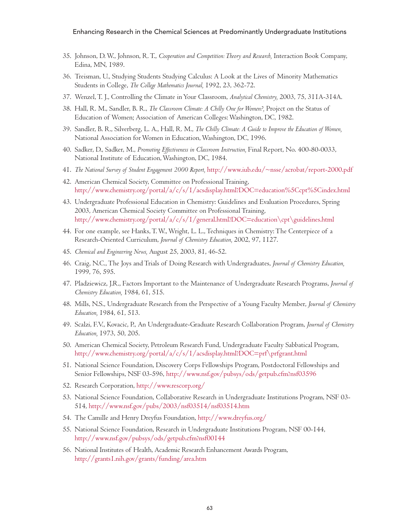- 35. Johnson, D. W., Johnson, R. T., *Cooperation and Competition: Theory and Research,* Interaction Book Company, Edina, MN, 1989.
- 36. Treisman, U., Studying Students Studying Calculus: A Look at the Lives of Minority Mathematics Students in College, *The College Mathematics Journal,* 1992, 23, 362-72.
- 37. Wenzel, T. J., Controlling the Climate in Your Classroom, *Analytical Chemistry,* 2003, 75, 311A-314A.
- 38. Hall, R. M., Sandler, B. R., *The Classroom Climate: A Chilly One for Women?,* Project on the Status of Education of Women; Association of American Colleges: Washington, DC, 1982.
- 39. Sandler, B. R., Silverberg, L. A., Hall, R. M., *The Chilly Climate: A Guide to Improve the Education of Women,* National Association for Women in Education, Washington, DC, 1996.
- 40. Sadker, D., Sadker, M., *Promoting Effectiveness in Classroom Instruction,* Final Report, No. 400-80-0033, National Institute of Education, Washington, DC, 1984.
- 41. *The National Survey of Student Engagement 2000 Report,* http://www.iub.edu/~nsse/acrobat/report-2000.pdf
- 42. American Chemical Society, Committee on Professional Training, http://www.chemistry.org/portal/a/c/s/1/acsdisplay.html?DOC=education%5Ccpt%5Cindex.html
- 43. Undergraduate Professional Education in Chemistry: Guidelines and Evaluation Procedures, Spring 2003, American Chemical Society Committee on Professional Training, http://www.chemistry.org/portal/a/c/s/1/general.html?DOC=education\cpt\guidelines.html
- 44. For one example, see Hanks, T. W., Wright, L. L., Techniques in Chemistry: The Centerpiece of a Research-Oriented Curriculum, *Journal of Chemistry Education,* 2002, 97, 1127.
- 45. *Chemical and Engineering News,* August 25, 2003, 81, 46-52.
- 46. Craig, N.C., The Joys and Trials of Doing Research with Undergraduates, *Journal of Chemistry Education,* 1999, 76, 595.
- 47. Pladziewicz, J.R., Factors Important to the Maintenance of Undergraduate Research Programs, *Journal of Chemistry Education,* 1984, 61, 515.
- 48. Mills, N.S., Undergraduate Research from the Perspective of a Young Faculty Member, *Journal of Chemistry Education,* 1984, 61, 513.
- 49. Scalzi, F.V., Kovacic, P., An Undergraduate-Graduate Research Collaboration Program, *Journal of Chemistry Education,* 1973, 50, 205.
- 50. American Chemical Society, Petroleum Research Fund, Undergraduate Faculty Sabbatical Program, http://www.chemistry.org/portal/a/c/s/1/acsdisplay.html?DOC=prf\prfgrant.html
- 51. National Science Foundation, Discovery Corps Fellowships Program, Postdoctoral Fellowships and Senior Fellowships, NSF 03-596, http://www.nsf.gov/pubsys/ods/getpub.cfm?nsf03596
- 52. Research Corporation, http://www.rescorp.org/
- 53. National Science Foundation, Collaborative Research in Undergraduate Institutions Program, NSF 03- 514, http://www.nsf.gov/pubs/2003/nsf03514/nsf03514.htm
- 54. The Camille and Henry Dreyfus Foundation, http://www.dreyfus.org/
- 55. National Science Foundation, Research in Undergraduate Institutions Program, NSF 00-144, http://www.nsf.gov/pubsys/ods/getpub.cfm?nsf00144
- 56. National Institutes of Health, Academic Research Enhancement Awards Program, http://grants1.nih.gov/grants/funding/area.htm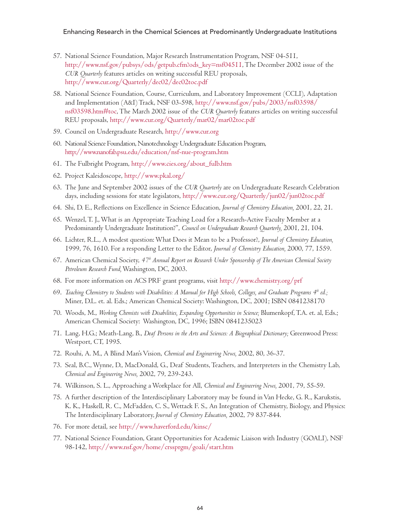- 57. National Science Foundation, Major Research Instrumentation Program, NSF 04-511, http://www.nsf.gov/pubsys/ods/getpub.cfm?ods\_key=nsf04511, The December 2002 issue of the *CUR Quarterly* features articles on writing successful REU proposals, http://www.cur.org/Quarterly/dec02/dec02toc.pdf
- 58. National Science Foundation, Course, Curriculum, and Laboratory Improvement (CCLI), Adaptation and Implementation (A&I) Track, NSF 03-598, http://www.nsf.gov/pubs/2003/nsf03598/ nsf03598.htm#toc, The March 2002 issue of the *CUR Quarterly* features articles on writing successful REU proposals, http://www.cur.org/Quarterly/mar02/mar02toc.pdf
- 59. Council on Undergraduate Research, http://www.cur.org
- 60. National Science Foundation, Nanotechnology Undergraduate Education Program, http://www.nanofab.psu.edu/education/nsf-nue-program.htm
- 61. The Fulbright Program, http://www.cies.org/about\_fulb.htm
- 62. Project Kaleidoscope, http://www.pkal.org/
- 63. The June and September 2002 issues of the *CUR Quarterly* are on Undergraduate Research Celebration days, including sessions for state legislators, http://www.cur.org/Quarterly/jun02/jun02toc.pdf
- 64. Shi, D. E., Reflections on Excellence in Science Education, *Journal of Chemistry Education,* 2001, 22, 21.
- 65. Wenzel, T. J., What is an Appropriate Teaching Load for a Research-Active Faculty Member at a Predominantly Undergraduate Institution?", *Council on Undergraduate Research Quarterly,* 2001, 21, 104.
- 66. Lichter, R.L., A modest question: What Does it Mean to be a Professor?, *Journal of Chemistry Education,* 1999, 76, 1610. For a responding Letter to the Editor, *Journal of Chemistry Education,* 2000, 77, 1559.
- 67. American Chemical Society, *47th Annual Report on Research Under Sponsorship of The American Chemical Society Petroleum Research Fund,* Washington, DC, 2003.
- 68. For more information on ACS PRF grant programs, visit http://www.chemistry.org/prf
- 69. *Teaching Chemistry to Students with Disabilities: A Manual for High Schools, Colleges, and Graduate Programs 4th ed.;* Miner, D.L. et. al. Eds.; American Chemical Society: Washington, DC, 2001; ISBN 0841238170
- 70. Woods, M., *Working Chemists with Disabilities, Expanding Opportunities in Science;* Blumenkopf, T.A. et. al, Eds.; American Chemical Society: Washington, DC, 1996; ISBN 0841235023
- 71. Lang, H.G.; Meath-Lang, B., *Deaf Persons in the Arts and Sciences: A Biographical Dictionary;* Greenwood Press: Westport, CT, 1995.
- 72. Rouhi, A. M., A Blind Man's Vision, *Chemical and Engineering News,* 2002, 80, 36-37.
- 73. Seal, B.C., Wynne, D., MacDonald, G., Deaf Students, Teachers, and Interpreters in the Chemistry Lab, *Chemical and Engineering News,* 2002, 79, 239-243.
- 74. Wilkinson, S. L., Approaching a Workplace for All, *Chemical and Engineering News,* 2001, 79, 55-59.
- 75. A further description of the Interdisciplinary Laboratory may be found in Van Hecke, G. R., Karukstis, K. K., Haskell, R. C., McFadden, C. S., Wettack F. S., An Integration of Chemistry, Biology, and Physics: The Interdisciplinary Laboratory, *Journal of Chemistry Education,* 2002, 79 837-844.
- 76. For more detail, see http://www.haverford.edu/kinsc/
- 77. National Science Foundation, Grant Opportunities for Academic Liaison with Industry (GOALI), NSF 98-142, http://www.nsf.gov/home/crssprgm/goali/start.htm